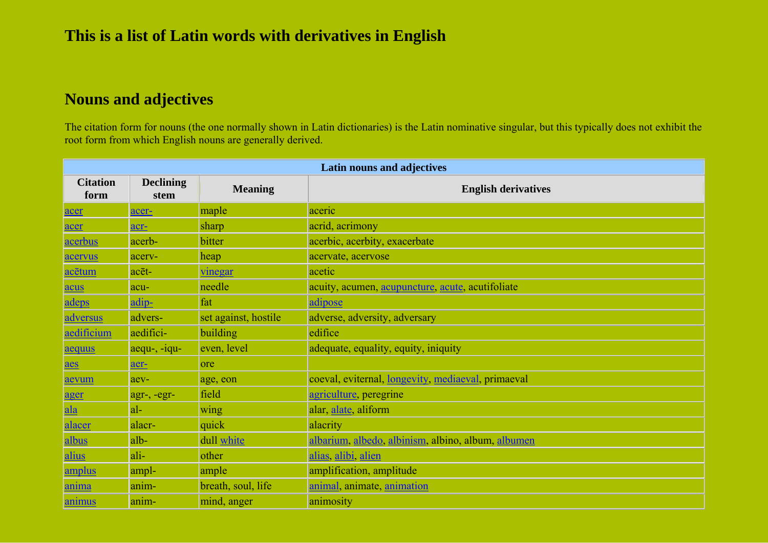## **Nouns and adjectives**

The citation form for nouns (the one normally shown in Latin dictionaries) is the Latin nominative singular, but this typically does not exhibit the root form from which English nouns are generally derived.

| Latin nouns and adjectives |                          |                      |                                                    |
|----------------------------|--------------------------|----------------------|----------------------------------------------------|
| <b>Citation</b><br>form    | <b>Declining</b><br>stem | <b>Meaning</b>       | <b>English derivatives</b>                         |
| acer                       | acer-                    | maple                | aceric                                             |
| acer                       | acr-                     | sharp                | acrid, acrimony                                    |
| acerbus                    | acerb-                   | bitter               | acerbic, acerbity, exacerbate                      |
| acervus                    | acerv-                   | heap                 | acervate, acervose                                 |
| acētum                     | acēt-                    | vinegar              | acetic                                             |
| acus                       | acu-                     | needle               | acuity, acumen, acupuncture, acute, acutifoliate   |
| adeps                      | adip-                    | fat                  | adipose                                            |
| adversus                   | advers-                  | set against, hostile | adverse, adversity, adversary                      |
| aedificium                 | aedifici-                | building             | edifice                                            |
| aequus                     | $a$ equ-, - $i$ qu-      | even, level          | adequate, equality, equity, iniquity               |
| aes                        | aer-                     | ore                  |                                                    |
| aevum                      | aev-                     | age, eon             | coeval, eviternal, longevity, mediaeval, primaeval |
| ager                       | agr-, -egr-              | field                | agriculture, peregrine                             |
| ala                        | $ a $ -                  | wing                 | alar, alate, aliform                               |
| alacer                     | alacr-                   | quick                | alacrity                                           |
| albus                      | alb-                     | dull white           | albarium, albedo, albinism, albino, album, albumen |
| alius                      | ali-                     | other                | alias, alibi, alien                                |
| amplus                     | ampl-                    | ample                | amplification, amplitude                           |
| <u>anima</u>               | anim-                    | breath, soul, life   | animal, animate, animation                         |
| <u>animus</u>              | anim-                    | mind, anger          | animosity                                          |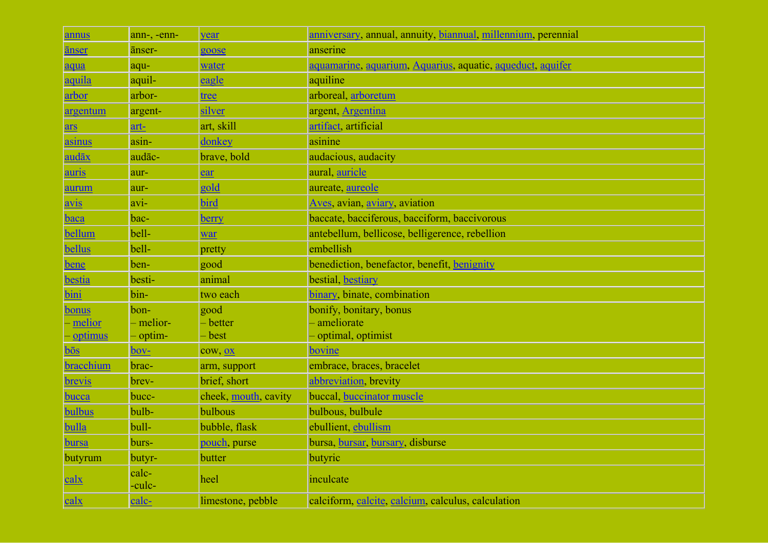| annus            | ann-, -enn-     | year                 | anniversary, annual, annuity, biannual, millennium, perennial |
|------------------|-----------------|----------------------|---------------------------------------------------------------|
| <u>anser</u>     | anser-          | goose                | anserine                                                      |
| aqua             | aqu-            | water                | aquamarine, aquarium, Aquarius, aquatic, aqueduct, aquifer    |
| aquila           | aquil-          | eagle                | aquiline                                                      |
| arbor            | arbor-          | tree                 | arboreal, arboretum                                           |
| argentum         | argent-         | silver               | argent, Argentina                                             |
| <u>ars</u>       | art-            | art, skill           | artifact artificial                                           |
| asinus           | asin-           | donkey               | asinine                                                       |
| <u>audāx</u>     | audāc-          | brave, bold          | audacious, audacity                                           |
| auris            | aur-            | ear                  | aural, auricle                                                |
| aurum            | aur-            | gold                 | aureate, aureole                                              |
| $\frac{avis}{2}$ | avi-            | bird                 | Aves, avian, aviary, aviation                                 |
| <b>baca</b>      | bac-            | <u>berry</u>         | baccate, bacciferous, bacciform, baccivorous                  |
| bellum           | bell-           | war                  | antebellum, bellicose, belligerence, rebellion                |
| bellus           | bell-           | pretty               | embellish                                                     |
| bene             | ben-            | good                 | benediction, benefactor, benefit, benignity                   |
| bestia           | besti-          | animal               | bestial, bestiary                                             |
| bini             | bin-            | two each             | binary, binate, combination                                   |
| <b>bonus</b>     | bon-            | good                 | bonify, bonitary, bonus                                       |
| melior           | - melior-       | - better             | - ameliorate                                                  |
| <u>optimus</u>   | - optim-        | - best               | - optimal, optimist                                           |
| $b\bar{o}s$      | bov-            | cow, <u>ox</u>       | bovine                                                        |
| bracchium        | brac-           | arm, support         | embrace, braces, bracelet                                     |
| <b>brevis</b>    | brev-           | brief, short         | abbreviation, brevity                                         |
| <b>bucca</b>     | bucc-           | cheek, mouth, cavity | buccal, buccinator muscle                                     |
| bulbus           | bulb-           | bulbous              | bulbous, bulbule                                              |
| bulla            | bull-           | bubble, flask        | ebullient, ebullism                                           |
| <b>bursa</b>     | burs-           | pouch purse          | bursa, bursar, bursary, disburse                              |
| butyrum          | butyr-          | butter               | butyric                                                       |
| <u>calx</u>      | calc-<br>-culc- | heel                 | inculcate                                                     |
| <u>calx</u>      | $calc-$         | limestone, pebble    | calciform, calcite, calcium, calculus, calculation            |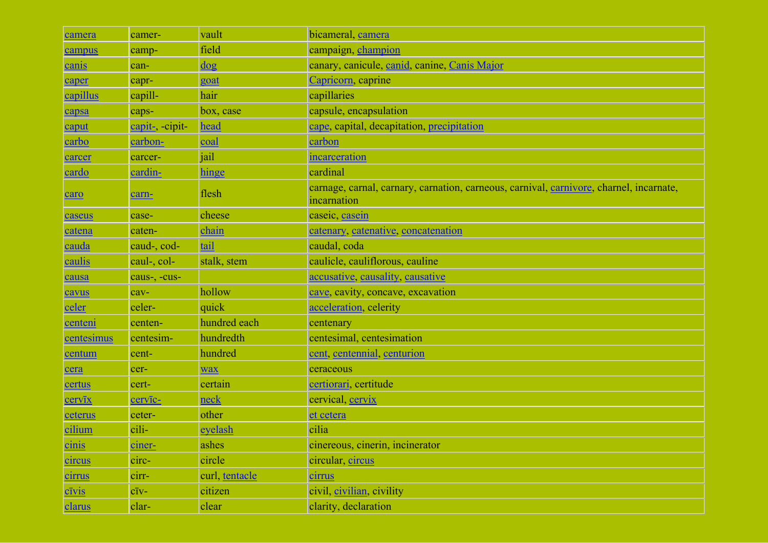| camera        | camer-          | vault                                                                       | bicameral, camera                                                                                      |
|---------------|-----------------|-----------------------------------------------------------------------------|--------------------------------------------------------------------------------------------------------|
| campus        | camp-           | field                                                                       | campaign, champion                                                                                     |
| canis         | can-            | $\frac{\mathrm{d} \mathrm{o} \mathrm{g}}{\mathrm{d} \mathrm{o} \mathrm{g}}$ | canary, canicule, canid, canine, Canis Major                                                           |
| caper         | capr-           | goat                                                                        | Capricorn, caprine                                                                                     |
| capillus      | capill-         | hair                                                                        | capillaries                                                                                            |
| capsa         | caps-           | box, case                                                                   | capsule, encapsulation                                                                                 |
| caput         | capit-, -cipit- | head                                                                        | cape, capital, decapitation, precipitation                                                             |
| carbo         | carbon-         | coal                                                                        | carbon                                                                                                 |
| carcer        | carcer-         | jail                                                                        | incarceration                                                                                          |
| cardo         | cardin-         | hinge                                                                       | cardinal                                                                                               |
| caro          | carn-           | flesh                                                                       | carnage, carnal, carnary, carnation, carneous, carnival, carnivore, charnel, incarnate,<br>incarnation |
| caseus        | case-           | cheese                                                                      | caseic, casein                                                                                         |
| catena        | caten-          | chain                                                                       | catenary, catenative, concatenation                                                                    |
| cauda         | caud-, cod-     | tail                                                                        | caudal, coda                                                                                           |
| caulis        | caul-, col-     | stalk, stem                                                                 | caulicle, cauliflorous, cauline                                                                        |
| causa         | caus-, -cus-    |                                                                             | accusative, causality, causative                                                                       |
| cavus         | cav-            | hollow                                                                      | cave, cavity, concave, excavation                                                                      |
| celer         | celer-          | quick                                                                       | acceleration, celerity                                                                                 |
| centeni       | centen-         | hundred each                                                                | centenary                                                                                              |
| centesimus    | centesim-       | hundredth                                                                   | centesimal, centesimation                                                                              |
| centum        | cent-           | hundred                                                                     | cent, centennial, centurion                                                                            |
| cera          | cer-            | <b>wax</b>                                                                  | ceraceous                                                                                              |
| certus        | cert-           | certain                                                                     | certiorari, certitude                                                                                  |
| cervīx        | cervic-         | neck                                                                        | cervical, cervix                                                                                       |
| ceterus       | ceter-          | other                                                                       | et cetera                                                                                              |
| cilium        | cili-           | eyelash                                                                     | cilia                                                                                                  |
| cinis         | ciner-          | ashes                                                                       | cinereous, cinerin, incinerator                                                                        |
| <i>circus</i> | circ-           | circle                                                                      | circular, circus                                                                                       |
| cirrus        | cirr-           | curl, tentacle                                                              | <u>cirrus</u>                                                                                          |
| $c\bar{v}$ is | $c\bar{1}v-$    | citizen                                                                     | civil, civilian, civility                                                                              |
| clarus        | clar-           | clear                                                                       | clarity, declaration                                                                                   |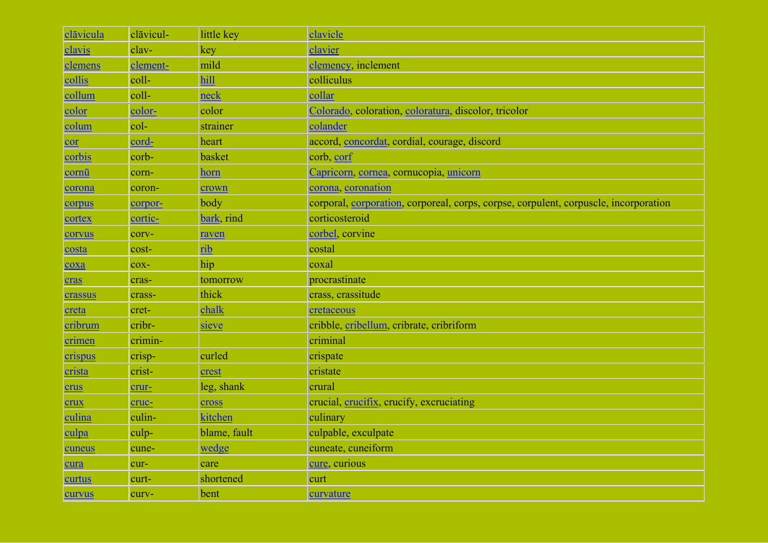| clāvicula | clāvicul-      | little key   | clavicle                                                                             |
|-----------|----------------|--------------|--------------------------------------------------------------------------------------|
| clavis    | clav-          | key          | clavier                                                                              |
| clemens   | clement-       | mild         | clemency, inclement                                                                  |
| collis    | $\text{coll-}$ | hill         | colliculus                                                                           |
| collum    | coll-          | neck         | collar                                                                               |
| color     | color-         | color        | Colorado, coloration, coloratura, discolor, tricolor                                 |
| colum     | $col-$         | strainer     | colander                                                                             |
| cor       | cord-          | heart        | accord, concordat, cordial, courage, discord                                         |
| corbis    | corb-          | basket       | corb, corf                                                                           |
| cornū     | corn-          | horn         | Capricorn, cornea, cornucopia, unicorn                                               |
| corona    | coron-         | crown        | corona coronation                                                                    |
| corpus    | corpor-        | body         | corporal, corporation, corporeal, corps, corpse, corpulent, corpuscle, incorporation |
| cortex    | cortic-        | bark, rind   | corticosteroid                                                                       |
| corvus    | corv-          | raven        | corbel corvine                                                                       |
| costa     | cost-          | rib          | costal                                                                               |
| coxa      | $\cos$ -       | hip          | coxal                                                                                |
| cras      | cras-          | tomorrow     | procrastinate                                                                        |
| crassus   | crass-         | thick        | crass, crassitude                                                                    |
| creta     | cret-          | chalk        | cretaceous                                                                           |
| cribrum   | cribr-         | sieve        | cribble, cribellum, cribrate, cribriform                                             |
| crimen    | crimin-        |              | criminal                                                                             |
| crispus   | crisp-         | curled       | crispate                                                                             |
| crista    | crist-         | crest        | cristate                                                                             |
| crus      | crur-          | leg, shank   | crural                                                                               |
| crux      | cruc-          | cross        | crucial, crucifix, crucify, excruciating                                             |
| culina    | culin-         | kitchen      | culinary                                                                             |
| culpa     | culp-          | blame, fault | culpable, exculpate                                                                  |
| cuneus    | cune-          | wedge        | cuneate, cuneiform                                                                   |
| cura      | cur-           | care         | cure, curious                                                                        |
| curtus    | curt-          | shortened    | curt                                                                                 |
| curvus    | curv-          | bent         | curvature                                                                            |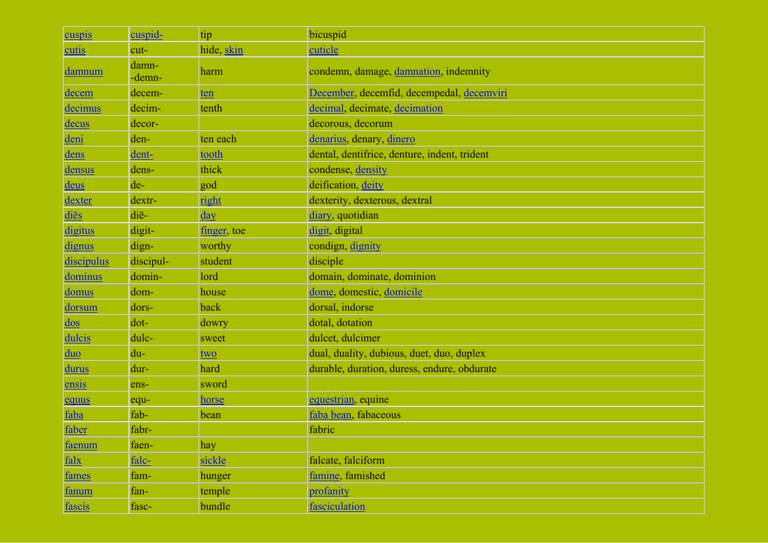| cuspis                          | cuspid-         | tip          | bicuspid                                     |
|---------------------------------|-----------------|--------------|----------------------------------------------|
| <b>cutis</b>                    | cut-            | hide, skin   | cuticle                                      |
| <u>damnum</u>                   | damn-<br>-demn- | harm         | condemn, damage, damnation, indemnity        |
| decem                           | decem-          | ten          | December, decemfid, decempedal, decemviri    |
| decimus                         | decim-          | tenth        | decimal, decimate, decimation                |
| decus                           | decor-          |              | decorous, decorum                            |
| deni                            | den-            | ten each     | denarius, denary, dinero                     |
| dens                            | dent-           | tooth        | dental, dentifrice, denture, indent, trident |
| densus                          | dens-           | thick        | condense, density                            |
| deus                            | de-             | god          | deification, deity                           |
| dexter                          | dextr-          | right        | dexterity, dexterous, dextral                |
| diēs                            | diē-            | day          | diary, quotidian                             |
| <i>digitus</i>                  | digit-          | finger, toe  | digit, digital                               |
| <u>dignus</u>                   | dign-           | worthy       | condign, dignity                             |
| <i>discipulus</i>               | discipul-       | student      | disciple                                     |
| dominus                         | domin-          | lord         | domain, dominate, dominion                   |
| domus                           | dom-            | house        | dome, domestic, domicile                     |
| dorsum                          | dors-           | back         | dorsal, indorse                              |
| $\frac{\mathrm{d}}{\mathrm{d}}$ | dot-            | dowry        | dotal, dotation                              |
| dulcis                          | dulc-           | sweet        | dulcet, dulcimer                             |
| duo                             | du-             | two          | dual, duality, dubious, duet, duo, duplex    |
| <b>durus</b>                    | dur-            | hard         | durable, duration, duress, endure, obdurate  |
| ensis                           | ens-            | sword        |                                              |
| equus                           | equ-            | <u>horse</u> | equestrian, equine                           |
| faba                            | fab-            | bean         | faba bean, fabaceous                         |
| faber                           | fabr-           |              | fabric                                       |
| faenum                          | faen-           | hay          |                                              |
| falx                            | falc-           | sickle       | falcate, falciform                           |
| fames                           | fam-            | hunger       | famine, famished                             |
| fanum                           | fan-            | temple       | profanity                                    |
| fascis                          | fasc-           | bundle       | fasciculation                                |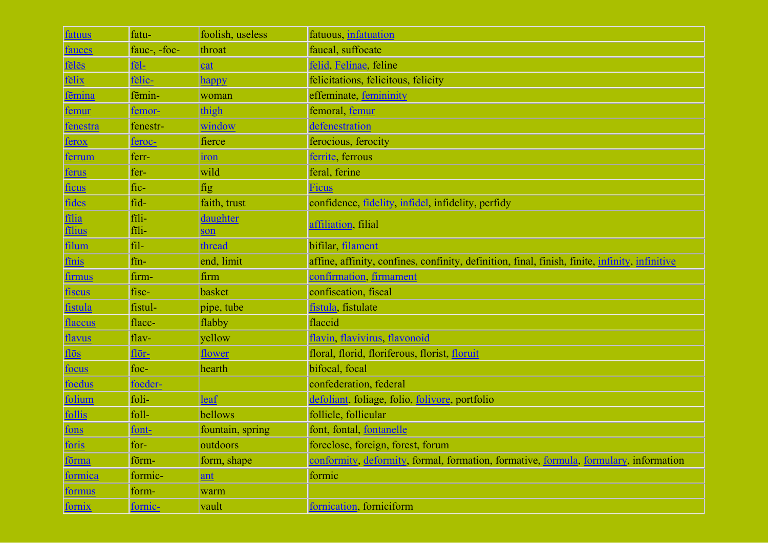| fatuus        | fatu-         | foolish, useless | fatuous, infatuation                                                                           |
|---------------|---------------|------------------|------------------------------------------------------------------------------------------------|
| <u>fauces</u> | fauc-, -foc-  | throat           | faucal, suffocate                                                                              |
| feles         | fel-          | cat              | felid, Felinae, feline                                                                         |
| fēlix         | felic-        | happy            | felicitations, felicitous, felicity                                                            |
| fēmina        | fēmin-        | woman            | effeminate, femininity                                                                         |
| femur         | femor-        | thigh            | femoral, femur                                                                                 |
| fenestra      | fenestr-      | window           | defenestration                                                                                 |
| <u>ferox</u>  | <u>feroc-</u> | fierce           | ferocious, ferocity                                                                            |
| ferrum        | ferr-         | iron             | ferrite ferrous                                                                                |
| <u>ferus</u>  | fer-          | wild             | feral, ferine                                                                                  |
| ficus         | fic-          | fig              | <b>Ficus</b>                                                                                   |
| fides         | fid-          | faith, trust     | confidence, <u>fidelity</u> , infidel, infidelity, perfidy                                     |
| filia         | fili-         | daughter         | affiliation, filial                                                                            |
| filius        | fili-         | son              |                                                                                                |
| <u>filum</u>  | fil-          | thread           | bifilar, filament                                                                              |
| finis         | fin-          | end, limit       | affine, affinity, confines, confinity, definition, final, finish, finite, infinity, infinitive |
| <u>firmus</u> | firm-         | firm             | confirmation, firmament                                                                        |
| <u>fiscus</u> | fisc-         | basket           | confiscation, fiscal                                                                           |
| fistula       | fistul-       | pipe, tube       | fistula, fistulate                                                                             |
| flaccus       | flacc-        | flabby           | flaccid                                                                                        |
| flavus        | $flav-$       | yellow           | flavin, flavivirus, flavonoid                                                                  |
| flos          | flōr-         | flower           | floral, florid, floriferous, florist, floruit                                                  |
| <u>focus</u>  | foc-          | hearth           | bifocal, focal                                                                                 |
| foedus        | foeder-       |                  | confederation, federal                                                                         |
| folium        | foli-         | <u>leaf</u>      | defoliant, foliage, folio, folivore, portfolio                                                 |
| follis        | foll-         | bellows          | follicle, follicular                                                                           |
| fons          | font-         | fountain, spring | font, fontal, fontanelle                                                                       |
| foris         | for-          | outdoors         | foreclose, foreign, forest, forum                                                              |
| förma         | förm-         | form, shape      | conformity, deformity, formal, formation, formative, formula, formulary, information           |
| formica       | formic-       | ant              | formic                                                                                         |
| formus        | form-         | warm             |                                                                                                |
| fornix        | fornic-       | vault            | fornication, forniciform                                                                       |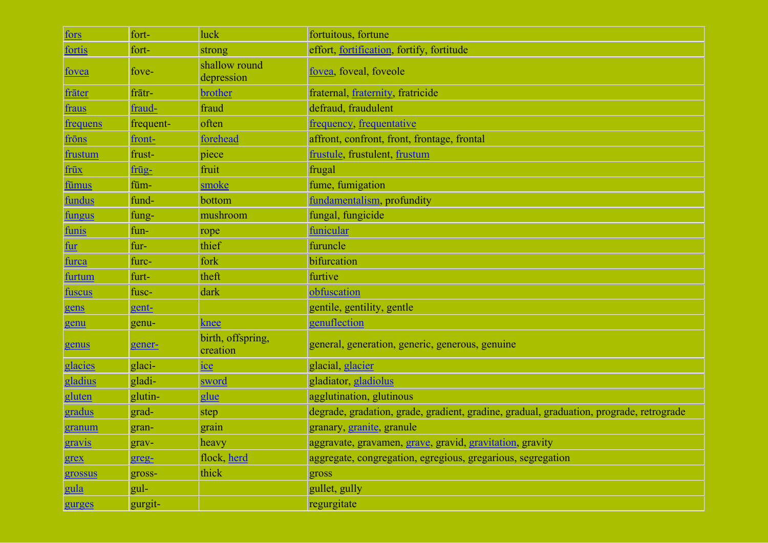| fors                              | fort-     | luck                          | fortuitous, fortune                                                                     |
|-----------------------------------|-----------|-------------------------------|-----------------------------------------------------------------------------------------|
| fortis                            | fort-     | strong                        | effort, fortification, fortify, fortitude                                               |
| <u>fovea</u>                      | fove-     | shallow round<br>depression   | fovea, foveal, foveole                                                                  |
| frāter                            | frātr-    | brother                       | fraternal, fraternity, fratricide                                                       |
| fraus                             | fraud-    | fraud                         | defraud, fraudulent                                                                     |
| <b>frequens</b>                   | frequent- | often                         | frequency, frequentative                                                                |
| frons                             | front-    | forehead                      | affront, confront, front, frontage, frontal                                             |
| frustum                           | frust-    | piece                         | frustule, frustulent, frustum                                                           |
| frūx                              | frūg-     | fruit                         | frugal                                                                                  |
| fūmus                             | fūm-      | smoke                         | fume, fumigation                                                                        |
| <b>fundus</b>                     | fund-     | bottom                        | fundamentalism, profundity                                                              |
| fungus                            | fung-     | mushroom                      | fungal, fungicide                                                                       |
| funis                             | fun-      | rope                          | funicular                                                                               |
| $\frac{\mathrm{fur}}{\mathrm{L}}$ | fur-      | thief                         | furuncle                                                                                |
| furca                             | furc-     | fork                          | bifurcation                                                                             |
| furtum                            | furt-     | theft                         | furtive                                                                                 |
| <u>fuscus</u>                     | fusc-     | dark                          | obfuscation                                                                             |
| gens                              | gent-     |                               | gentile, gentility, gentle                                                              |
| genu                              | genu-     | knee                          | genuflection                                                                            |
| genus                             | gener-    | birth, offspring,<br>creation | general, generation, generic, generous, genuine                                         |
| glacies                           | glaci-    | <u>ice</u>                    | glacial, glacier                                                                        |
| gladius                           | gladi-    | sword                         | gladiator, gladiolus                                                                    |
| gluten                            | glutin-   | glue                          | agglutination, glutinous                                                                |
| gradus                            | grad-     | step                          | degrade, gradation, grade, gradient, gradine, gradual, graduation, prograde, retrograde |
| granum                            | gran-     | grain                         | granary, granite, granule                                                               |
| gravis                            | grav-     | heavy                         | aggravate, gravamen, grave, gravid, gravitation, gravity                                |
| grex                              | greg-     | flock, herd                   | aggregate, congregation, egregious, gregarious, segregation                             |
| grossus                           | gross-    | thick                         | gross                                                                                   |
| gula                              | gul-      |                               | gullet, gully                                                                           |
| gurges                            | gurgit-   |                               | regurgitate                                                                             |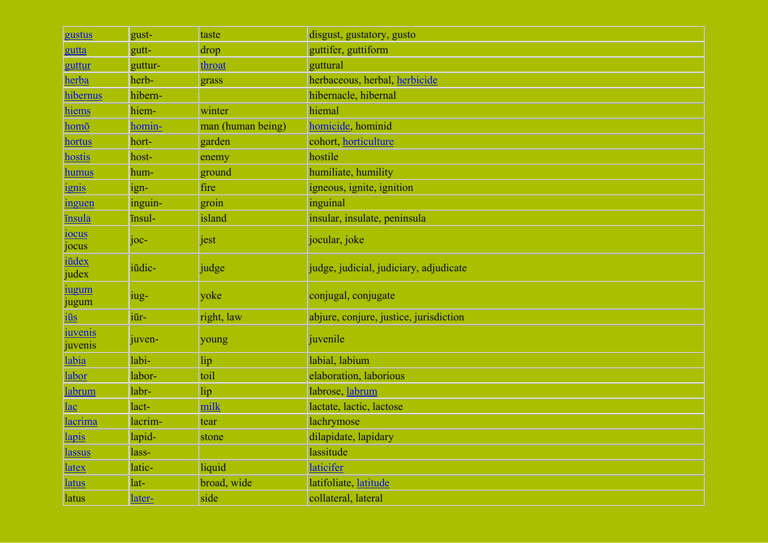| gustus                           | gust-   | taste             | disgust, gustatory, gusto              |
|----------------------------------|---------|-------------------|----------------------------------------|
| gutta                            | gutt-   | drop              | guttifer, guttiform                    |
| guttur                           | guttur- | throat            | guttural                               |
| herba                            | herb-   | grass             | herbaceous, herbal, herbicide          |
| hibernus                         | hibern- |                   | hibernacle, hibernal                   |
| hiems                            | hiem-   | winter            | hiemal                                 |
| homō                             | homin-  | man (human being) | homicide, hominid                      |
| hortus                           | hort-   | garden            | cohort, horticulture                   |
| <b>hostis</b>                    | host-   | enemy             | hostile                                |
| <u>humus</u>                     | hum-    | ground            | humiliate, humility                    |
| ignis                            | ign-    | fire              | igneous, ignite, ignition              |
| inguen                           | inguin- | groin             | inguinal                               |
| <u>īnsula</u>                    | insul-  | island            | insular, insulate, peninsula           |
| iocus<br>jocus                   | $joc-$  | jest              | jocular, joke                          |
| <i>iūdex</i><br>judex            | iūdic-  | judge             | judge, judicial, judiciary, adjudicate |
| <u>iugum</u><br>jugum            | iug-    | yoke              | conjugal, conjugate                    |
| $\frac{1}{10}$                   | iūr-    | right, law        | abjure, conjure, justice, jurisdiction |
| <i><u>iuvenis</u></i><br>juvenis | juven-  | young             | juvenile                               |
| labia                            | labi-   | lip               | labial, labium                         |
| labor                            | labor-  | toil              | elaboration, laborious                 |
| <b>labrum</b>                    | labr-   | lip               | labrose, labrum                        |
| <u>lac</u>                       | lact-   | milk              | lactate, lactic, lactose               |
| <u>lacrima</u>                   | lacrim- | tear              | lachrymose                             |
| <u>lapis</u>                     | lapid-  | stone             | dilapidate, lapidary                   |
| lassus                           | lass-   |                   | lassitude                              |
| <u>latex</u>                     | latic-  | liquid            | laticifer                              |
| <b>latus</b>                     | lat-    | broad, wide       | latifoliate, latitude                  |
| latus                            | later-  | side              | collateral, lateral                    |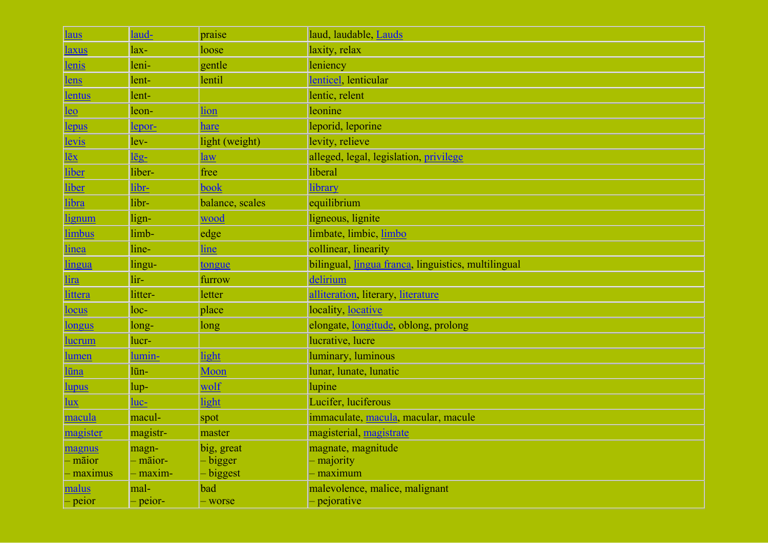| <b>laus</b>           | laud-         | praise          | laud, laudable, Lauds                               |
|-----------------------|---------------|-----------------|-----------------------------------------------------|
| <u>laxus</u>          | $lax-$        | loose           | laxity, relax                                       |
| <u>lenis</u>          | leni-         | gentle          | leniency                                            |
| <u>lens</u>           | lent-         | lentil          | lenticel lenticular                                 |
| lentus                | lent-         |                 | lentic, relent                                      |
| <u>leo</u>            | leon-         | lion            | leonine                                             |
| <u>lepus</u>          | <u>lepor-</u> | hare            | leporid, leporine                                   |
| levis                 | lev-          | light (weight)  | levity, relieve                                     |
| $l\bar{e}x$           | <u>lēg-</u>   | law             | alleged, legal, legislation, privilege              |
| liber                 | liber-        | free            | liberal                                             |
| liber                 | libr-         | book            | library                                             |
| libra                 | libr-         | balance, scales | equilibrium                                         |
| lignum                | lign-         | wood            | ligneous, lignite                                   |
| limbus                | limb-         | edge            | limbate, limbic, limbo                              |
| linea                 | line-         | <u>line</u>     | collinear, linearity                                |
| lingua                | lingu-        | tongue          | bilingual, lingua franca, linguistics, multilingual |
| <u>lira</u>           | lir-          | furrow          | delirium                                            |
| <u>littera</u>        | litter-       | letter          | alliteration, literary, literature                  |
| <u>locus</u>          | $loc-$        | place           | locality, locative                                  |
| <u>longus</u>         | long-         | long            | elongate, longitude, oblong, prolong                |
| <u>lucrum</u>         | lucr-         |                 | lucrative, lucre                                    |
| <u>lumen</u>          | lumin-        | light           | luminary, luminous                                  |
| <u>lūna</u>           | lūn-          | Moon            | lunar, lunate, lunatic                              |
| <u>lupus</u>          | lup-          | wolf            | lupine                                              |
| $\frac{\ln x}{\ln x}$ | <u>luc-</u>   | light           | Lucifer, luciferous                                 |
| macula                | macul-        | spot            | immaculate, macula, macular, macule                 |
| magister              | magistr-      | master          | magisterial, magistrate                             |
| magnus                | magn-         | big, great      | magnate, magnitude                                  |
| – māior               | - māior-      | - bigger        | - majority                                          |
| - maximus             | maxim-        | - biggest       | maximum                                             |
| malus                 | mal-          | bad             | malevolence, malice, malignant                      |
| - peior               | - peior-      | - worse         | - pejorative                                        |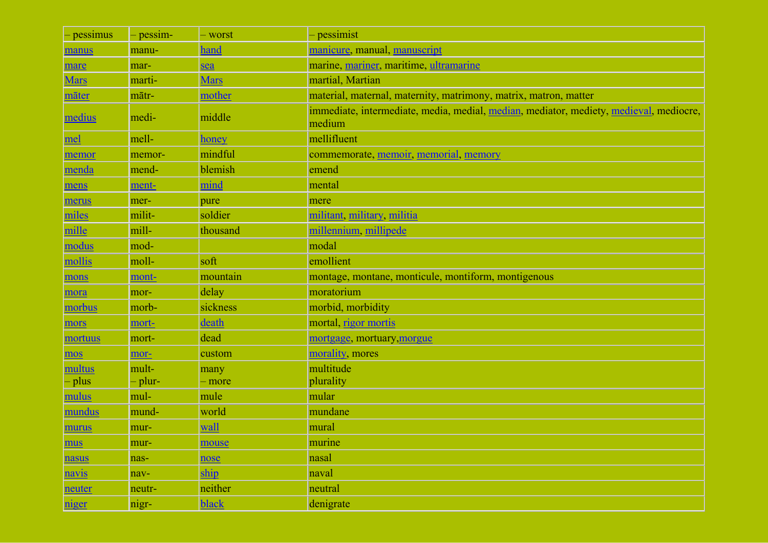| - pessimus  | - pessim- | - worst      | - pessimist                                                                                      |
|-------------|-----------|--------------|--------------------------------------------------------------------------------------------------|
| manus       | manu-     | hand         | manicure, manual, manuscript                                                                     |
| mare        | mar-      | sea          | marine, mariner, maritime, ultramarine                                                           |
| <b>Mars</b> | marti-    | <b>Mars</b>  | martial, Martian                                                                                 |
| māter       | mātr-     | mother       | material, maternal, maternity, matrimony, matrix, matron, matter                                 |
| medius      | medi-     | middle       | immediate, intermediate, media, medial, median, mediator, mediety, medieval, mediocre,<br>medium |
| mel         | mell-     | <b>honey</b> | mellifluent                                                                                      |
| memor       | memor-    | mindful      | commemorate, memoir, memorial, memory                                                            |
| menda       | mend-     | blemish      | emend                                                                                            |
| mens        | ment-     | mind         | mental                                                                                           |
| merus       | mer-      | pure         | mere                                                                                             |
| miles       | milit-    | soldier      | militant, military, militia                                                                      |
| mille       | mill-     | thousand     | millennium, millipede                                                                            |
| modus       | mod-      |              | modal                                                                                            |
| mollis      | moll-     | soft         | emollient                                                                                        |
| mons        | mont-     | mountain     | montage, montane, monticule, montiform, montigenous                                              |
| mora        | mor-      | delay        | moratorium                                                                                       |
| morbus      | morb-     | sickness     | morbid, morbidity                                                                                |
| mors        | mort-     | death        | mortal, rigor mortis                                                                             |
| mortuus     | mort-     | dead         | mortgage, mortuary, morgue                                                                       |
| mos         | mor-      | custom       | morality, mores                                                                                  |
| multus      | mult-     | many         | multitude                                                                                        |
| – plus      | – plur-   | - more       | plurality                                                                                        |
| mulus       | mul-      | mule         | mular                                                                                            |
| mundus      | mund-     | world        | mundane                                                                                          |
| murus       | mur-      | wall         | mural                                                                                            |
| mus         | mur-      | mouse        | murine                                                                                           |
| nasus       | nas-      | nose         | nasal                                                                                            |
| navis       | nav-      | ship         | naval                                                                                            |
| neuter      | neutr-    | neither      | neutral                                                                                          |
| niger       | nigr-     | <b>black</b> | denigrate                                                                                        |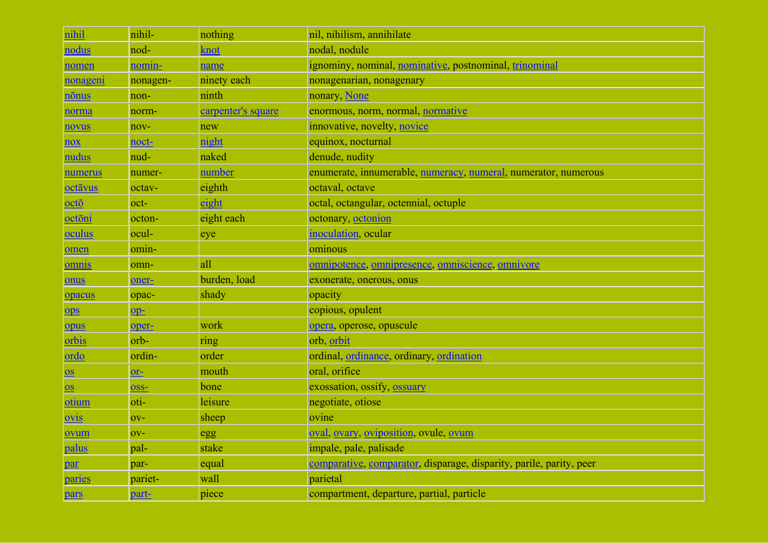| nihil                  | nihil-         | nothing            | nil, nihilism, annihilate                                           |
|------------------------|----------------|--------------------|---------------------------------------------------------------------|
| nodus                  | nod-           | knot               | nodal, nodule                                                       |
| nomen                  | nomin-         | name               | ignominy, nominal, nominative, postnominal, trinominal              |
| nonageni               | nonagen-       | ninety each        | nonagenarian, nonagenary                                            |
| nōnus                  | non-           | ninth              | nonary, None                                                        |
| norma                  | norm-          | carpenter's square | enormous, norm, normal, normative                                   |
| novus                  | nov-           | new                | innovative, novelty, novice                                         |
| $\overline{nov}$       | noct-          | night              | equinox, nocturnal                                                  |
| nudus                  | nud-           | naked              | denude, nudity                                                      |
| numerus                | numer-         | number             | enumerate, innumerable, numeracy, numeral, numerator, numerous      |
| octāvus                | octav-         | eighth             | octaval, octave                                                     |
| oct <sub>o</sub>       | oct-           | eight              | octal, octangular, octennial, octuple                               |
| octōni                 | octon-         | eight each         | octonary, octonion                                                  |
| oculus                 | ocul-          | eye                | inoculation, ocular                                                 |
| omen                   | omin-          |                    | ominous                                                             |
| omnis                  | omn-           | all                | omnipotence, omnipresence, omniscience, omnivore                    |
| onus                   | oner-          | burden, load       | exonerate, onerous, onus                                            |
| opacus                 | opac-          | shady              | opacity                                                             |
| $_{\text{ops}}$        | $op-$          |                    | copious, opulent                                                    |
| opus                   | oper-          | work               | opera, operose, opuscule                                            |
| orbis                  | orb-           | ring               | orb orbit                                                           |
| ordo                   | ordin-         | order              | ordinal, ordinance, ordinary, ordination                            |
| $\overline{\text{OS}}$ | $or$ -         | mouth              | oral, orifice                                                       |
| $\overline{\text{OS}}$ | OSS-           | bone               | exossation, ossify, ossuary                                         |
| otium                  | oti-           | leisure            | negotiate, otiose                                                   |
| ovis                   | O <sub>V</sub> | sheep              | ovine                                                               |
| ovum                   | O <sub>V</sub> | egg                | oval, ovary, oviposition, ovule, ovum                               |
| palus                  | pal-           | stake              | impale, pale, palisade                                              |
| par                    | par-           | equal              | comparative, comparator, disparage, disparity, parile, parity, peer |
| paries                 | pariet-        | wall               | parietal                                                            |
| pars                   | part-          | piece              | compartment, departure, partial, particle                           |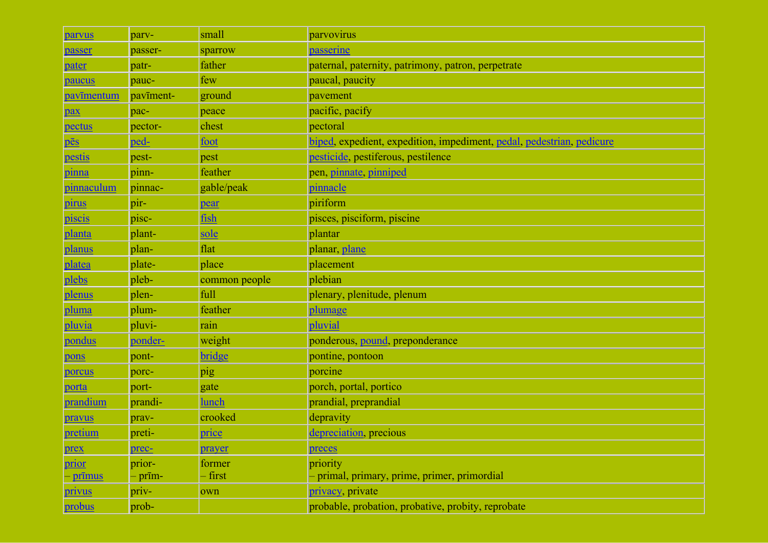| parvus                  | parv-     | small         | parvovirus                                                            |
|-------------------------|-----------|---------------|-----------------------------------------------------------------------|
| passer                  | passer-   | sparrow       | passerine                                                             |
| pater                   | patr-     | father        | paternal, paternity, patrimony, patron, perpetrate                    |
| paucus                  | pauc-     | few           | paucal, paucity                                                       |
| pavīmentum              | pavīment- | ground        | pavement                                                              |
| pax                     | pac-      | peace         | pacific, pacify                                                       |
| pectus                  | pector-   | chest         | pectoral                                                              |
| $\overline{\text{pēs}}$ | ped-      | foot          | biped, expedient, expedition, impediment, pedal, pedestrian, pedicure |
| pestis                  | pest-     | pest          | pesticide, pestiferous, pestilence                                    |
| pinna                   | pinn-     | feather       | pen, pinnate, pinniped                                                |
| pinnaculum              | pinnac-   | gable/peak    | pinnacle                                                              |
| <i>pirus</i>            | pir-      | pear          | piriform                                                              |
| piscis                  | pisc-     | fish          | pisces, pisciform, piscine                                            |
| planta                  | plant-    | sole          | plantar                                                               |
| planus                  | plan-     | flat          | planar, plane                                                         |
| platea                  | plate-    | place         | placement                                                             |
| plebs                   | pleb-     | common people | plebian                                                               |
| plenus                  | plen-     | full          | plenary, plenitude, plenum                                            |
| pluma                   | plum-     | feather       | plumage                                                               |
| pluvia                  | pluvi-    | rain          | pluvial                                                               |
| pondus                  | ponder-   | weight        | ponderous, pound, preponderance                                       |
| pons                    | pont-     | bridge        | pontine, pontoon                                                      |
| porcus                  | porc-     | pig           | porcine                                                               |
| porta                   | port-     | gate          | porch, portal, portico                                                |
| prandium                | prandi-   | lunch         | prandial, preprandial                                                 |
| pravus                  | prav-     | crooked       | depravity                                                             |
| pretium                 | preti-    | price         | depreciation, precious                                                |
| prex                    | prec-     | prayer        | preces                                                                |
| prior                   | prior-    | former        | priority                                                              |
| <u>- prīmus</u>         | - prīm-   | - first       | - primal, primary, prime, primer, primordial                          |
| <u>privus</u>           | priv-     | own           | privacy, private                                                      |
| probus                  | prob-     |               | probable, probation, probative, probity, reprobate                    |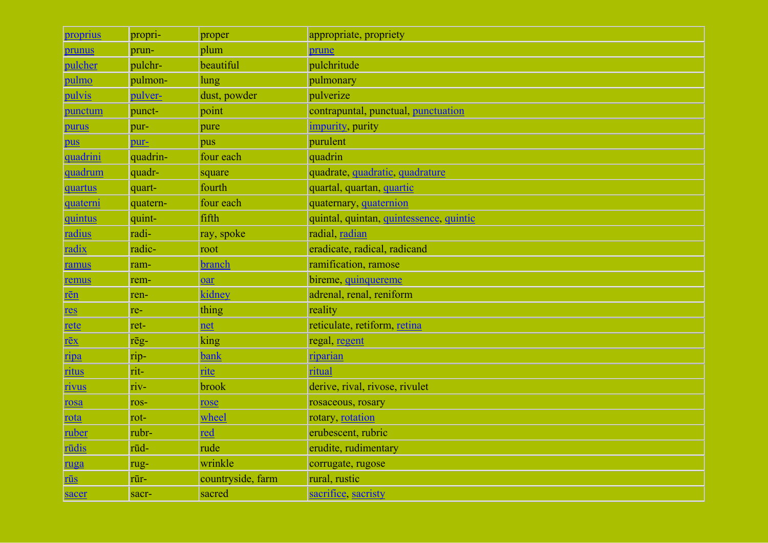| proprius                                           | propri-  | proper            | appropriate, propriety                  |  |  |  |
|----------------------------------------------------|----------|-------------------|-----------------------------------------|--|--|--|
| prunus                                             | prun-    | plum              | prune                                   |  |  |  |
| pulcher                                            | pulchr-  | beautiful         | pulchritude                             |  |  |  |
| pulmo                                              | pulmon-  | lung              | pulmonary                               |  |  |  |
| pulvis                                             | pulver-  | dust, powder      | pulverize                               |  |  |  |
| punctum                                            | punct-   | point             | contrapuntal, punctual, punctuation     |  |  |  |
| purus                                              | pur-     | pure              | <i>impurity</i> , purity                |  |  |  |
| pus                                                | pur-     | pus               | purulent                                |  |  |  |
| quadrini                                           | quadrin- | four each         | quadrin                                 |  |  |  |
| quadrum                                            | quadr-   | square            | quadrate, quadratic, quadrature         |  |  |  |
| quartus                                            | quart-   | fourth            | quartal, quartan, quartic               |  |  |  |
| <u>quaterni</u>                                    | quatern- | four each         | quaternary, quaternion                  |  |  |  |
| quintus                                            | quint-   | fifth             | quintal, quintan, quintessence, quintic |  |  |  |
| radius                                             | radi-    | ray, spoke        | radial, radian                          |  |  |  |
| radix                                              | radic-   | root              | eradicate, radical, radicand            |  |  |  |
| ramus                                              | ram-     | branch            | ramification, ramose                    |  |  |  |
| remus                                              | rem-     | oar               | bireme, quinquereme                     |  |  |  |
| rēn                                                | ren-     | kidney            | adrenal, renal, reniform                |  |  |  |
| res                                                | re-      | thing             | reality                                 |  |  |  |
| rete                                               | ret-     | net               | reticulate, retiform, retina            |  |  |  |
| $\underline{\mathbf{r}\bar{\mathbf{e}}\mathbf{x}}$ | rēg-     | king              | regal, regent                           |  |  |  |
| ripa                                               | rip-     | <b>bank</b>       | <u>riparian</u>                         |  |  |  |
| ritus                                              | rit-     | rite              | ritual                                  |  |  |  |
| rivus                                              | riv-     | brook             | derive, rival, rivose, rivulet          |  |  |  |
| rosa                                               | ros-     | rose              | rosaceous, rosary                       |  |  |  |
| rota                                               | rot-     | wheel             | rotary, rotation                        |  |  |  |
| ruber                                              | rubr-    | red               | erubescent, rubric                      |  |  |  |
| rūdis                                              | rūd-     | rude              | erudite, rudimentary                    |  |  |  |
| ruga                                               | rug-     | wrinkle           | corrugate, rugose                       |  |  |  |
| rūs                                                | rūr-     | countryside, farm | rural, rustic                           |  |  |  |
| sacer                                              | sacr-    | sacred            | sacrifice, sacristy                     |  |  |  |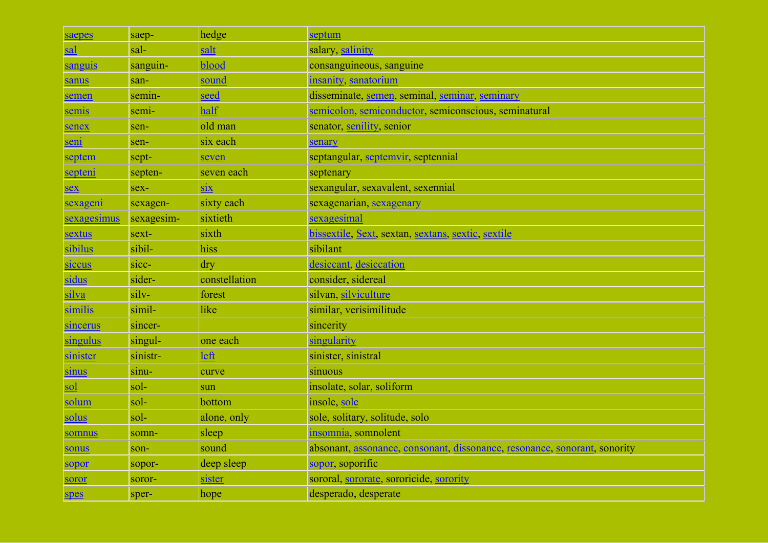| saepes             | saep-      | hedge                        | septum                                                                    |  |
|--------------------|------------|------------------------------|---------------------------------------------------------------------------|--|
| sal                | sal-       | salt                         | salary, salinity                                                          |  |
| sanguis            | sanguin-   | blood                        | consanguineous, sanguine                                                  |  |
| sanus              | san-       | sound                        | insanity, sanatorium                                                      |  |
| semen              | semin-     | seed                         | disseminate, semen, seminal, seminar, seminary                            |  |
| semis              | semi-      | half                         | semicolon, semiconductor, semiconscious, seminatural                      |  |
| senex              | sen-       | old man                      | senator, senility, senior                                                 |  |
| seni               | sen-       | six each                     | senary                                                                    |  |
| septem             | sept-      | seven                        | septangular, septemvir, septennial                                        |  |
| septeni            | septen-    | seven each                   | septenary                                                                 |  |
| sex                | sex-       | $\dot{\mathbf{S}}\mathbf{X}$ | sexangular, sexavalent, sexennial                                         |  |
| sexageni           | sexagen-   | sixty each                   | sexagenarian, sexagenary                                                  |  |
| <u>sexagesimus</u> | sexagesim- | sixtieth                     | sexagesimal                                                               |  |
| sextus             | sext-      | sixth                        | bissextile, Sext, sextan, sextans, sextic, sextile                        |  |
| sibilus            | sibil-     | hiss                         | sibilant                                                                  |  |
| siccus             | sicc-      | dry                          | desiccant, desiccation                                                    |  |
| sidus              | sider-     | constellation                | consider, sidereal                                                        |  |
| silva              | silv-      | forest                       | silvan, silviculture                                                      |  |
| similis            | simil-     | like                         | similar, verisimilitude                                                   |  |
| sincerus           | sincer-    |                              | sincerity                                                                 |  |
| singulus           | singul-    | one each                     | singularity                                                               |  |
| sinister           | sinistr-   | left                         | sinister, sinistral                                                       |  |
| sinus              | sinu-      | curve                        | sinuous                                                                   |  |
| sol                | sol-       | sun                          | insolate, solar, soliform                                                 |  |
| solum              | sol-       | bottom                       | insole, sole                                                              |  |
| solus              | sol-       | alone, only                  | sole, solitary, solitude, solo                                            |  |
| somnus             | somn-      | sleep                        | insomnia, somnolent                                                       |  |
| sonus              | son-       | sound                        | absonant, assonance, consonant, dissonance, resonance, sonorant, sonority |  |
| sopor              | sopor-     | deep sleep                   | sopor, soporific                                                          |  |
| soror              | soror-     | sister                       | sororal, sororate, sororicide, sorority                                   |  |
| spes               | sper-      | hope                         | desperado, desperate                                                      |  |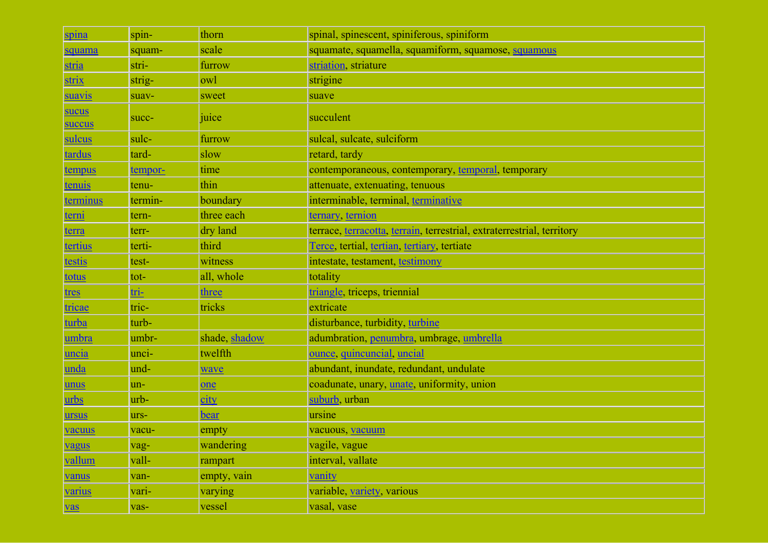| spina           | spin-       | thorn         | spinal, spinescent, spiniferous, spiniform                             |  |  |
|-----------------|-------------|---------------|------------------------------------------------------------------------|--|--|
| squama          | squam-      | scale         | squamate, squamella, squamiform, squamose, squamous                    |  |  |
| stria           | stri-       | furrow        | striation, striature                                                   |  |  |
| <b>strix</b>    | strig-      | owl           | strigine                                                               |  |  |
| suavis          | suav-       | sweet         | suave                                                                  |  |  |
| sucus<br>succus | succ-       | juice         | succulent                                                              |  |  |
| sulcus          | sulc-       | furrow        | sulcal, sulcate, sulciform                                             |  |  |
| tardus          | tard-       | slow          | retard, tardy                                                          |  |  |
| tempus          | tempor-     | time          | contemporaneous, contemporary, temporal, temporary                     |  |  |
| tenuis          | tenu-       | thin          | attenuate, extenuating, tenuous                                        |  |  |
| <u>terminus</u> | termin-     | boundary      | interminable, terminal, terminative                                    |  |  |
| <u>terni</u>    | tern-       | three each    | <u>ternary, ternion</u>                                                |  |  |
| terra           | terr-       | dry land      | terrace, terracotta, terrain, terrestrial, extraterrestrial, territory |  |  |
| <u>tertius</u>  | terti-      | third         | Terce, tertial, tertian, tertiary, tertiate                            |  |  |
| testis          | test-       | witness       | intestate, testament, testimony                                        |  |  |
| totus           | tot-        | all, whole    | totality                                                               |  |  |
| <u>tres</u>     | <u>tri-</u> | three         | triangle, triceps, triennial                                           |  |  |
| <u>tricae</u>   | tric-       | tricks        | extricate                                                              |  |  |
| turba           | turb-       |               | disturbance, turbidity, turbine                                        |  |  |
| umbra           | umbr-       | shade, shadow | adumbration, penumbra, umbrage, umbrella                               |  |  |
| uncia           | unci-       | twelfth       | ounce, quincuncial, uncial                                             |  |  |
| unda            | und-        | wave          | abundant, inundate, redundant, undulate                                |  |  |
| unus            | un-         | one           | coadunate, unary, unate, uniformity, union                             |  |  |
| <u>urbs</u>     | urb-        | <u>city</u>   | suburb urban                                                           |  |  |
| ursus           | urs-        | bear          | ursine                                                                 |  |  |
| vacuus          | vacu-       | empty         | vacuous, vacuum                                                        |  |  |
| vagus           | vag-        | wandering     | vagile, vague                                                          |  |  |
| vallum          | vall-       | rampart       | interval, vallate                                                      |  |  |
| vanus           | van-        | empty, vain   | vanity                                                                 |  |  |
| <u>varius</u>   | vari-       | varying       | variable, variety, various                                             |  |  |
| vas             | vas-        | vessel        | vasal, vase                                                            |  |  |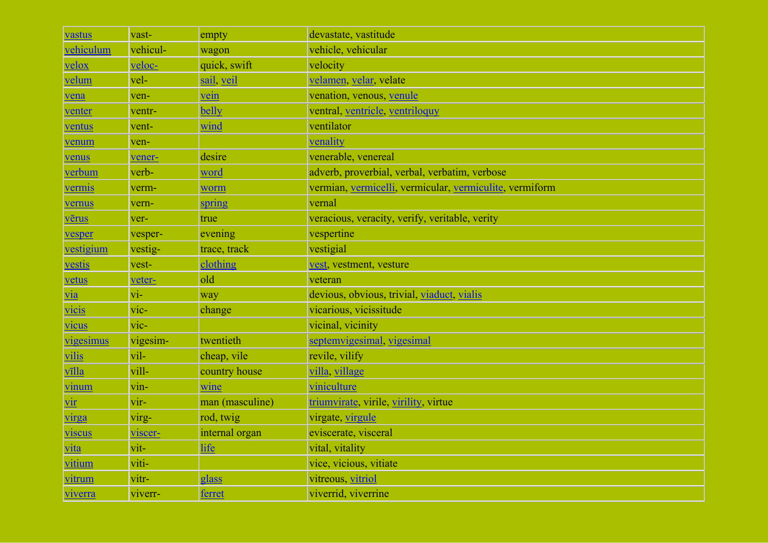| vastus         | vast-                   | empty           | devastate, vastitude                                    |
|----------------|-------------------------|-----------------|---------------------------------------------------------|
| vehiculum      | vehicul-                | wagon           | vehicle, vehicular                                      |
| velox          | veloc-                  | quick, swift    | velocity                                                |
| velum          | vel-                    | sail, veil      | velamen, velar, velate                                  |
| vena           | ven-                    | vein            | venation, venous, venule                                |
| venter         | ventr-                  | belly           | ventral, ventricle, ventriloquy                         |
| ventus         | vent-                   | wind            | ventilator                                              |
| venum          | ven-                    |                 | venality                                                |
| venus          | vener-                  | desire          | venerable, venereal                                     |
| verbum         | verb-                   | word            | adverb, proverbial, verbal, verbatim, verbose           |
| vermis         | verm-                   | worm            | vermian, vermicelli, vermicular, vermiculite, vermiform |
| vernus         | vern-                   | spring          | vernal                                                  |
| vērus          | ver-                    | true            | veracious, veracity, verify, veritable, verity          |
| vesper         | vesper-                 | evening         | vespertine                                              |
| vestigium      | vestig-                 | trace, track    | vestigial                                               |
| vestis         | vest-                   | clothing        | vest, vestment, vesture                                 |
| vetus          | veter-                  | old             | veteran                                                 |
| $\frac{via}{}$ | $\overline{vi}$ -       | way             | devious, obvious, trivial, viaduct, vialis              |
| vicis          | $vic-$                  | change          | vicarious, vicissitude                                  |
| vicus          | vic-                    |                 | vicinal, vicinity                                       |
| vigesimus      | vigesim-                | twentieth       | septemvigesimal, vigesimal                              |
| vilis          | vil-                    | cheap, vile     | revile, vilify                                          |
| vīlla          | vill-                   | country house   | villa village                                           |
| <u>vinum</u>   | $\sin$ -                | wine            | viniculture                                             |
| <u>vir</u>     | vir-                    | man (masculine) | triumvirate, virile, virility, virtue                   |
| virga          | virg-                   | rod, twig       | virgate, virgule                                        |
| viscus         | viscer-                 | internal organ  | eviscerate, visceral                                    |
| <u>vita</u>    | $\overline{\text{vit}}$ | life            | vital, vitality                                         |
| <u>vitium</u>  | viti-                   |                 | vice, vicious, vitiate                                  |
| <u>vitrum</u>  | vitr-                   | glass           | vitreous, vitriol                                       |
| <u>viverra</u> | viverr-                 | ferret          | viverrid, viverrine                                     |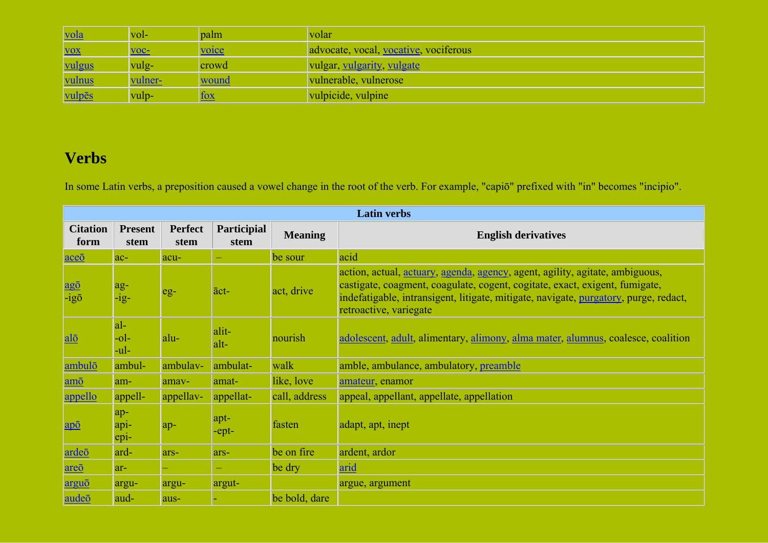| <u> vola</u>  | vol-           | palm  | volar                                 |
|---------------|----------------|-------|---------------------------------------|
| <b>VOX</b>    | $VOC-$         | voice | advocate, vocal, vocative, vociferous |
| <u>vulgus</u> | vulg-          | crowd | vulgar, vulgarity, vulgate            |
| <u>vulnus</u> | <u>vulner-</u> | wound | vulnerable, vulnerose                 |
| vulpēs        | vulp-          |       | vulpicide, vulpine                    |

## **Verbs**

In some Latin verbs, a preposition caused a vowel change in the root of the verb. For example, "capiō" prefixed with "in" becomes "incipio".

|                                                        | <b>Latin verbs</b>          |                        |                     |                |                                                                                                                                                                                                                                                                                       |  |  |  |
|--------------------------------------------------------|-----------------------------|------------------------|---------------------|----------------|---------------------------------------------------------------------------------------------------------------------------------------------------------------------------------------------------------------------------------------------------------------------------------------|--|--|--|
| <b>Citation</b><br>form                                | <b>Present</b><br>stem      | <b>Perfect</b><br>stem | Participial<br>stem | <b>Meaning</b> | <b>English derivatives</b>                                                                                                                                                                                                                                                            |  |  |  |
| $\overline{ace\overline{0}}$                           | $ac-$                       | acu-                   |                     | be sour        | acid                                                                                                                                                                                                                                                                                  |  |  |  |
| $\frac{ag\bar{o}}{-1}g\bar{o}$                         | $\underset{-ig}{\text{ag}}$ | eg-                    | $\bar{a}ct$         | act, drive     | action, actual, <i>actuary</i> , agenda, agency, agent, agility, agitate, ambiguous,<br>castigate, coagment, coagulate, cogent, cogitate, exact, exigent, fumigate,<br>indefatigable, intransigent, litigate, mitigate, navigate, purgatory, purge, redact,<br>retroactive, variegate |  |  |  |
| $al\bar{o}$                                            | $ a -$<br>$-0$ -<br>-ul-    | alu-                   | alit-<br>alt-       | nourish        | adolescent, adult, alimentary, alimony, alma mater, alumnus, coalesce, coalition                                                                                                                                                                                                      |  |  |  |
| ambulō                                                 | ambul-                      | ambulav-               | ambulat-            | walk           | amble, ambulance, ambulatory, preamble                                                                                                                                                                                                                                                |  |  |  |
| amō                                                    | am-                         | amav-                  | amat-               | like, love     | amateur, enamor                                                                                                                                                                                                                                                                       |  |  |  |
| appello                                                | appell-                     | appellav-              | appellat-           | call, address  | appeal, appellant, appellate, appellation                                                                                                                                                                                                                                             |  |  |  |
| $\overline{\mathbf{a}\mathbf{p}}\overline{\mathbf{o}}$ | ap-<br>api-<br>epi-         | $ap-$                  | apt-<br>$-$ ept $-$ | fasten         | adapt, apt, inept                                                                                                                                                                                                                                                                     |  |  |  |
| ardeō                                                  | ard-                        | ars-                   | ars-                | be on fire     | ardent, ardor                                                                                                                                                                                                                                                                         |  |  |  |
| areō                                                   | $ar-$                       |                        |                     | be dry         | arid                                                                                                                                                                                                                                                                                  |  |  |  |
| <u>arguō</u>                                           | argu-                       | argu-                  | argut-              |                | argue, argument                                                                                                                                                                                                                                                                       |  |  |  |
| audeō                                                  | aud-                        | aus-                   |                     | be bold, dare  |                                                                                                                                                                                                                                                                                       |  |  |  |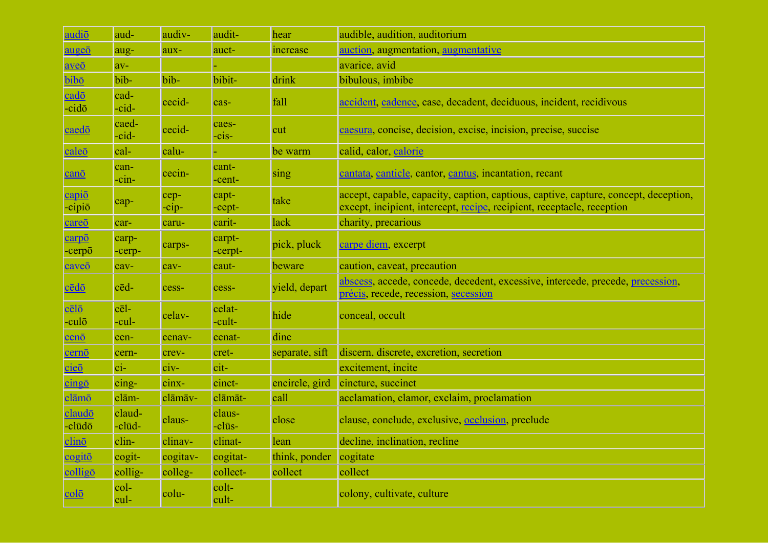| audio                                                           | aud-              | audiv-          | audit-                | hear           | audible, audition, auditorium                                                                                                                                 |
|-----------------------------------------------------------------|-------------------|-----------------|-----------------------|----------------|---------------------------------------------------------------------------------------------------------------------------------------------------------------|
| augeō                                                           | aug-              | aux-            | auct-                 | increase       | auction, augmentation, augmentative                                                                                                                           |
| $ave\overline{o}$                                               | $av-$             |                 |                       |                | avarice, avid                                                                                                                                                 |
| bibō                                                            | bib-              | bib-            | bibit-                | drink          | bibulous, imbibe                                                                                                                                              |
| $\overline{\text{c} \text{a} \text{d} \bar{\text{o}}}$<br>-cidō | cad-<br>-cid-     | cecid-          | cas-                  | fall           | accident, cadence, case, decadent, deciduous, incident, recidivous                                                                                            |
| caedō                                                           | caed-<br>cid-     | cecid-          | caes-<br>$-cis-$      | cut            | caesura, concise, decision, excise, incision, precise, succise                                                                                                |
| caleō                                                           | cal-              | calu-           |                       | be warm        | calid, calor, calorie                                                                                                                                         |
| cano                                                            | can-<br>-cin-     | cecin-          | cant-<br>-cent-       | sing           | cantata, canticle, cantor, cantus, incantation, recant                                                                                                        |
| $\frac{\text{capi}\bar{o}}{\text{capi}\bar{o}}$                 | cap-              | cep-<br>$-cip-$ | capt-<br>$-$ cept $-$ | take           | accept, capable, capacity, caption, captious, captive, capture, concept, deception,<br>except, incipient, intercept, recipe, recipient, receptacle, reception |
| careō                                                           | car-              | caru-           | carit-                | lack           | charity, precarious                                                                                                                                           |
| carpō<br>-cerpō                                                 | carp-<br>-cerp-   | carps-          | carpt-<br>-cerpt-     | pick, pluck    | carpe diem, excerpt                                                                                                                                           |
| caveō                                                           | cav-              | cav-            | caut-                 | beware         | caution, caveat, precaution                                                                                                                                   |
| <u>cēdō</u>                                                     | $c\bar{e}d$ -     | cess-           | cess-                 | yield, depart  | abscess, accede, concede, decedent, excessive, intercede, precede, precession,<br>précis, recede, recession, secession                                        |
| $c$ ēlō<br>-culō                                                | $cēl-$<br>-cul-   | celav-          | celat-<br>-cult-      | hide           | conceal, occult                                                                                                                                               |
| cenō                                                            | cen-              | cenav-          | cenat-                | dine           |                                                                                                                                                               |
| cernō                                                           | cern-             | crev-           | cret-                 | separate, sift | discern, discrete, excretion, secretion                                                                                                                       |
| cieō                                                            | $\overline{ci}$ - | $civ-$          | cit-                  |                | excitement, incite                                                                                                                                            |
| $c$ ing $\bar{o}$                                               | cing-             | cinx-           | cinct-                | encircle, gird | cincture, succinct                                                                                                                                            |
| clāmō                                                           | clām-             | clāmāv-         | clāmāt-               | call           | acclamation, clamor, exclaim, proclamation                                                                                                                    |
| claudō<br>-clūdō                                                | claud-<br>-clūd-  | claus-          | claus-<br>-clūs-      | close          | clause, conclude, exclusive, occlusion, preclude                                                                                                              |
| $clin\bar{o}$                                                   | clin-             | clinav-         | clinat-               | lean           | decline, inclination, recline                                                                                                                                 |
| $\frac{\text{cogit\bar{o}}}{\text{cogit\bar{o}}}$               | cogit-            | cogitav-        | cogitat-              | think, ponder  | cogitate                                                                                                                                                      |
| colligo                                                         | collig-           | colleg-         | collect-              | collect        | collect                                                                                                                                                       |
| <u>colō</u>                                                     | col-<br>cul-      | colu-           | colt-<br>cult-        |                | colony, cultivate, culture                                                                                                                                    |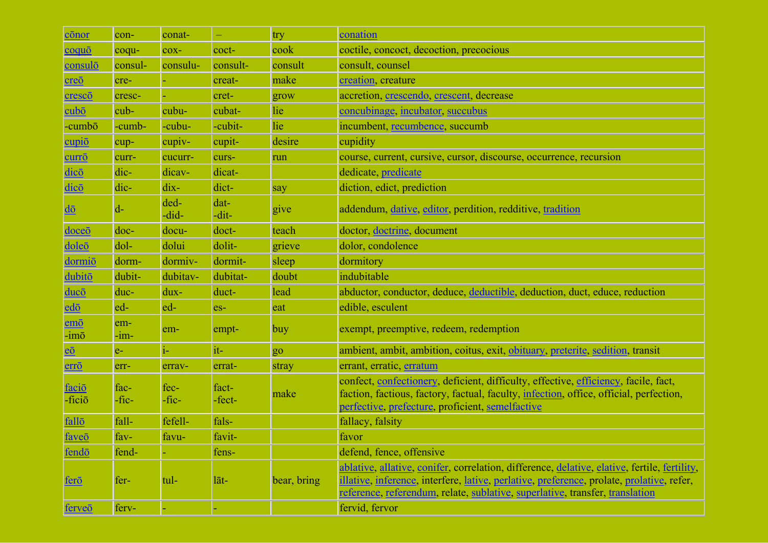| cōnor                               | con-          | conat-        |                 | try            | conation                                                                                                                                                                                                                                                                  |
|-------------------------------------|---------------|---------------|-----------------|----------------|---------------------------------------------------------------------------------------------------------------------------------------------------------------------------------------------------------------------------------------------------------------------------|
| coquō                               | coqu-         | cox-          | coct-           | cook           | coctile, concoct, decoction, precocious                                                                                                                                                                                                                                   |
| consulō                             | consul-       | consulu-      | consult-        | consult        | consult, counsel                                                                                                                                                                                                                                                          |
| $\overline{\text{creo}}$            | cre-          |               | creat-          | make           | creation, creature                                                                                                                                                                                                                                                        |
| cresco                              | cresc-        |               | cret-           | grow           | accretion, crescendo, crescent, decrease                                                                                                                                                                                                                                  |
| $cub\bar{o}$                        | cub-          | cubu-         | cubat-          | lie            | concubinage, incubator, succubus                                                                                                                                                                                                                                          |
| -cumbō                              | -cumb-        | -cubu-        | -cubit-         | lie            | incumbent, recumbence, succumb                                                                                                                                                                                                                                            |
| cupio                               | cup-          | cupiv-        | cupit-          | desire         | cupidity                                                                                                                                                                                                                                                                  |
| $curr\bar{o}$                       | curr-         | cucurr-       | curs-           | run            | course, current, cursive, cursor, discourse, occurrence, recursion                                                                                                                                                                                                        |
| dicō                                | dic-          | dicav-        | dicat-          |                | dedicate, predicate                                                                                                                                                                                                                                                       |
| dicō                                | dic-          | dix-          | dict-           | say            | diction, edict, prediction                                                                                                                                                                                                                                                |
| $\overline{\text{d}\bar{\text{o}}}$ | $d-$          | ded-<br>-did- | dat-<br>-dit-   | give           | addendum, dative, editor, perdition, redditive, tradition                                                                                                                                                                                                                 |
| doceō                               | doc-          | docu-         | doct-           | teach          | doctor, doctrine, document                                                                                                                                                                                                                                                |
| doleō                               | dol-          | dolui         | dolit-          | grieve         | dolor, condolence                                                                                                                                                                                                                                                         |
| dormiō                              | dorm-         | dormiv-       | dormit-         | sleep          | dormitory                                                                                                                                                                                                                                                                 |
| dubitō                              | dubit-        | dubitav-      | dubitat-        | doubt          | indubitable                                                                                                                                                                                                                                                               |
| $duc\bar{o}$                        | duc-          | dux-          | duct-           | lead           | abductor, conductor, deduce, deductible, deduction, duct, educe, reduction                                                                                                                                                                                                |
| $ed\bar{o}$                         | ed-           | ed-           | $es-$           | eat            | edible, esculent                                                                                                                                                                                                                                                          |
| $em\bar{o}$<br>-imō                 | em-<br>-1m-   | em-           | empt-           | buy            | exempt, preemptive, redeem, redemption                                                                                                                                                                                                                                    |
| $\overline{e\overline{0}}$          | $e-$          | 1-            | it-             | g <sub>o</sub> | ambient, ambit, ambition, coitus, exit, obituary, preterite, sedition, transit                                                                                                                                                                                            |
| $err\bar{o}$                        | err-          | errav-        | errat-          | stray          | errant, erratic, erratum                                                                                                                                                                                                                                                  |
| faciō<br>-ficiō                     | fac-<br>-fic- | fec-<br>-fic- | fact-<br>-fect- | make           | confect, confectionery, deficient, difficulty, effective, efficiency, facile, fact,<br>faction, factious, factory, factual, faculty, infection, office, official, perfection,<br>perfective, prefecture, proficient, semelfactive                                         |
| fallo                               | fall-         | fefell-       | fals-           |                | fallacy, falsity                                                                                                                                                                                                                                                          |
| faveō                               | $fav-$        | favu-         | favit-          |                | favor                                                                                                                                                                                                                                                                     |
| fendō                               | fend-         |               | fens-           |                | defend, fence, offensive                                                                                                                                                                                                                                                  |
| <u>ferō</u>                         | fer-          | tul-          | $l$ āt-         | bear, bring    | ablative, allative, conifer, correlation, difference, delative, elative, fertile, fertility,<br>illative, inference, interfere, lative, perlative, preference, prolate, prolative, refer,<br>reference, referendum, relate, sublative, superlative, transfer, translation |
| ferve <sub>o</sub>                  | ferv-         |               |                 |                | fervid, fervor                                                                                                                                                                                                                                                            |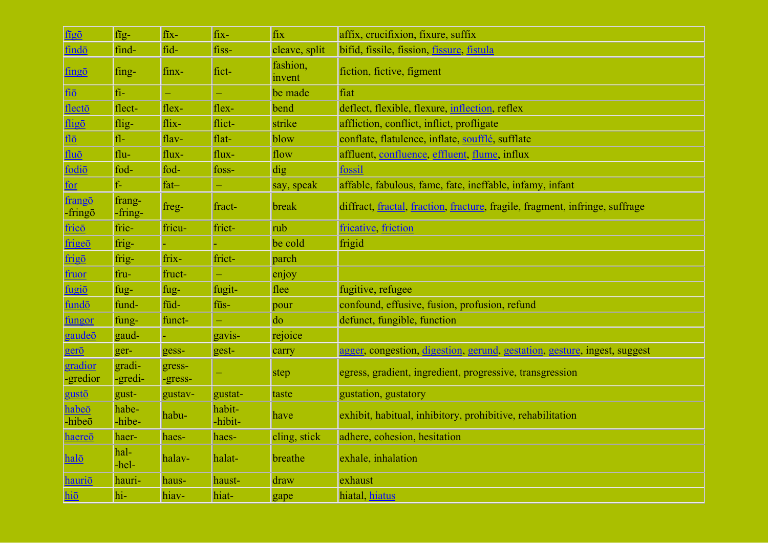| figō                          | $fig-$            | fix-              | fix-              | fix                | affix, crucifixion, fixure, suffix                                           |
|-------------------------------|-------------------|-------------------|-------------------|--------------------|------------------------------------------------------------------------------|
| findō                         | find-             | fid-              | fiss-             | cleave, split      | bifid, fissile, fission, <i>fissure</i> , <i>fistula</i>                     |
| fingō                         | fing-             | finx-             | fict-             | fashion,<br>invent | fiction, fictive, figment                                                    |
| fiō                           | $fi-$             | ÷,                | Ξ,                | be made            | fiat                                                                         |
| flecto                        | flect-            | flex-             | flex-             | bend               | deflect, flexible, flexure, inflection, reflex                               |
| fligō                         | flig-             | flix-             | flict-            | strike             | affliction, conflict, inflict, profligate                                    |
| flo                           | $f1-$             | flav-             | flat-             | blow               | conflate, flatulence, inflate, soufflé, sufflate                             |
| $flu\bar{o}$                  | flu-              | flux-             | flux-             | flow               | affluent, confluence, effluent, flume, influx                                |
| fodiō                         | fod-              | fod-              | foss-             | dig                | fossil                                                                       |
| for                           | $f -$             | $fat-$            | ÷,                | say, speak         | affable, fabulous, fame, fate, ineffable, infamy, infant                     |
| frangō<br>$-$ fring $\bar{o}$ | frang-<br>-fring- | freg-             | fract-            | break              | diffract, fractal, fraction, fracture, fragile, fragment, infringe, suffrage |
| fricō                         | fric-             | fricu-            | frict-            | rub                | fricative friction                                                           |
| frigeō                        | frig-             |                   |                   | be cold            | frigid                                                                       |
| frigo                         | frig-             | frix-             | frict-            | parch              |                                                                              |
| fruor                         | fru-              | fruct-            |                   | enjoy              |                                                                              |
| fugiō                         | fug-              | fug-              | fugit-            | flee               | fugitive, refugee                                                            |
| fundō                         | fund-             | fūd-              | fūs-              | pour               | confound, effusive, fusion, profusion, refund                                |
| fungor                        | fung-             | funct-            |                   | do                 | defunct, fungible, function                                                  |
| gaudeō                        | gaud-             |                   | gavis-            | rejoice            |                                                                              |
| gerō                          | ger-              | gess-             | gest-             | carry              | agger, congestion, digestion, gerund, gestation, gesture, ingest, suggest    |
| gradior<br>-gredior           | gradi-<br>-gredi- | gress-<br>-gress- |                   | step               | egress, gradient, ingredient, progressive, transgression                     |
| gustō                         | gust-             | gustav-           | gustat-           | taste              | gustation, gustatory                                                         |
| habeō<br>-hibeō               | habe-<br>-hibe-   | habu-             | habit-<br>-hibit- | have               | exhibit, habitual, inhibitory, prohibitive, rehabilitation                   |
| haereō                        | haer-             | haes-             | haes-             | cling, stick       | adhere, cohesion, hesitation                                                 |
| halō                          | hal-<br>-hel-     | halav-            | halat-            | breathe            | exhale, inhalation                                                           |
| hauriō                        | hauri-            | haus-             | haust-            | draw               | exhaust                                                                      |
| hiō                           | hi-               | hiav-             | hiat-             | gape               | hiatal, hiatus                                                               |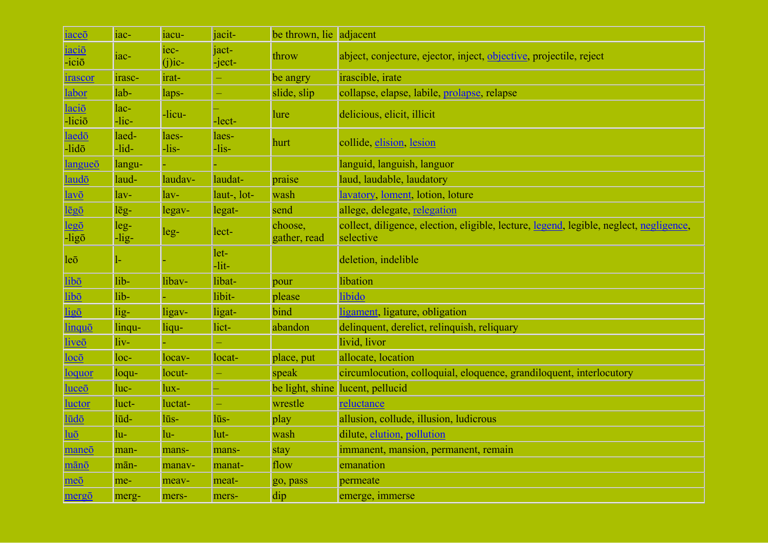| iaceō                                | iac-             | iacu-             | jacit-           | be thrown, lie adjacent |                                                                                                     |
|--------------------------------------|------------------|-------------------|------------------|-------------------------|-----------------------------------------------------------------------------------------------------|
| iaciō<br>$-ici\bar{o}$               | $1ac-$           | iec-<br>$(j)$ ic- | jact-<br>-ject-  | throw                   | abject, conjecture, ejector, inject, objective, projectile, reject                                  |
| irascor                              | irasc-           | irat-             |                  | be angry                | irascible, irate                                                                                    |
| labor                                | lab-             | laps-             | ÷,               | slide, slip             | collapse, elapse, labile, prolapse, relapse                                                         |
| laciō<br>-liciō                      | lac-<br>$-lic-$  | -licu-            | -lect-           | <b>lure</b>             | delicious, elicit, illicit                                                                          |
| laedō<br>$-lid\bar{o}$               | laed-<br>$-lid-$ | laes-<br>$-lis-$  | laes-<br>$-lis-$ | hurt                    | collide, elision, lesion                                                                            |
| langueō                              | langu-           |                   |                  |                         | languid, languish, languor                                                                          |
| laudō                                | laud-            | laudav-           | laudat-          | praise                  | laud, laudable, laudatory                                                                           |
| $l$ avō                              | $lav-$           | $lav-$            | laut-, lot-      | wash                    | lavatory, loment, lotion, loture                                                                    |
| lēgō                                 | $l\bar{e}g-$     | $legav-$          | legat-           | send                    | allege, delegate, relegation                                                                        |
| $leg\bar{o}$<br>-ligō                | $leg-$<br>-lig-  | $leg-$            | lect-            | choose,<br>gather, read | collect, diligence, election, eligible, lecture, legend, legible, neglect, negligence,<br>selective |
| leq                                  |                  |                   | let-<br>$-lit-$  |                         | deletion, indelible                                                                                 |
| libō                                 | lib-             | libav-            | libat-           | pour                    | libation                                                                                            |
| libō                                 | lib-             |                   | libit-           | please                  | libido                                                                                              |
| ligō                                 | $lig-$           | ligav-            | ligat-           | bind                    | ligament, ligature, obligation                                                                      |
| linquō                               | linqu-           | liqu-             | lict-            | abandon                 | delinquent, derelict, relinquish, reliquary                                                         |
| liveō                                | liv-             |                   |                  |                         | livid, livor                                                                                        |
| $loc\bar{o}$                         | $loc-$           | locav-            | locat-           | place, put              | allocate, location                                                                                  |
| <u>loquor</u>                        | loqu-            | locut-            | ÷                | speak                   | circumlocution, colloquial, eloquence, grandiloquent, interlocutory                                 |
| luceō                                | luc-             | lux-              |                  |                         | be light, shine lucent, pellucid                                                                    |
| <b>luctor</b>                        | luct-            | luctat-           | ÷,               | wrestle                 | reluctance                                                                                          |
| lūdō                                 | lūd-             | lūs-              | lūs-             | play                    | allusion, collude, illusion, ludicrous                                                              |
| $\overline{\text{lu}\bar{\text{o}}}$ | lu-              | lu-               | lut-             | wash                    | dilute, elution, pollution                                                                          |
| maneō                                | man-             | mans-             | mans-            | stay                    | immanent, mansion, permanent, remain                                                                |
| mānō                                 | mān-             | manav-            | manat-           | flow                    | emanation                                                                                           |
| meō                                  | me-              | meav-             | meat-            | go, pass                | permeate                                                                                            |
| mergō                                | merg-            | mers-             | mers-            | dip                     | emerge, immerse                                                                                     |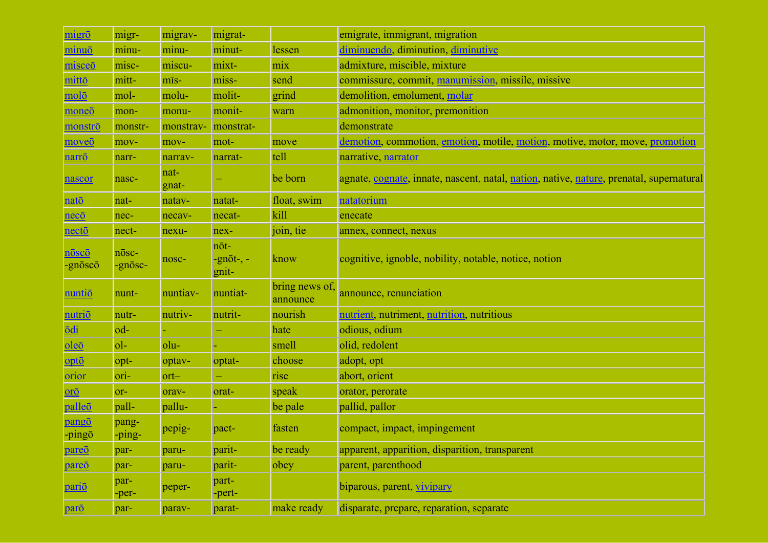| migrō            | migr-            | migrav-       | migrat-                            |                            | emigrate, immigrant, migration                                                          |
|------------------|------------------|---------------|------------------------------------|----------------------------|-----------------------------------------------------------------------------------------|
| minuō            | minu-            | minu-         | minut-                             | lessen                     | diminuendo, diminution, diminutive                                                      |
| misceō           | misc-            | miscu-        | mixt-                              | mix                        | admixture, miscible, mixture                                                            |
| mittō            | mitt-            | mīs-          | miss-                              | send                       | commissure, commit, manumission, missile, missive                                       |
| molō             | mol-             | molu-         | molit-                             | grind                      | demolition, emolument, molar                                                            |
| moneō            | mon-             | monu-         | monit-                             | warn                       | admonition, monitor, premonition                                                        |
| monstrō          | monstr-          | monstrav-     | monstrat-                          |                            | demonstrate                                                                             |
| moveō            | mov-             | mov-          | mot-                               | move                       | demotion, commotion, emotion, motile, motion, motive, motor, move, promotion            |
| narrō            | narr-            | narrav-       | narrat-                            | tell                       | narrative, narrator                                                                     |
| nascor           | nasc-            | nat-<br>gnat- |                                    | be born                    | agnate, cognate, innate, nascent, natal, nation, native, nature, prenatal, supernatural |
| natō             | nat-             | natav-        | natat-                             | float, swim                | natatorium                                                                              |
| necō             | nec-             | necav-        | necat-                             | kill                       | enecate                                                                                 |
| nectō            | nect-            | nexu-         | nex-                               | join, tie                  | annex, connect, nexus                                                                   |
| nōscō<br>-gnōscō | nōsc-<br>-gnosc- | nosc-         | nōt-<br>$-gn\bar{o}t-, -$<br>gnit- | know                       | cognitive, ignoble, nobility, notable, notice, notion                                   |
| nuntiō           | nunt-            | nuntiav-      | nuntiat-                           | bring news of,<br>announce | announce, renunciation                                                                  |
| <u>nutriō</u>    | nutr-            | nutriv-       | nutrit-                            | nourish                    | nutrient, nutriment, nutrition, nutritious                                              |
| <b>odi</b>       | od-              |               |                                    | hate                       | odious, odium                                                                           |
| oleō             | $ol-$            | olu-          |                                    | smell                      | olid, redolent                                                                          |
| opto             | opt-             | optav-        | optat-                             | choose                     | adopt, opt                                                                              |
| orior            | ori-             | $ort-$        | ÷,                                 | rise                       | abort, orient                                                                           |
| orō              | or-              | orav-         | orat-                              | speak                      | orator, perorate                                                                        |
| palleō           | pall-            | pallu-        |                                    | be pale                    | pallid, pallor                                                                          |
| pangō<br>-pingo  | pang-<br>-ping-  | pepig-        | pact-                              | fasten                     | compact, impact, impingement                                                            |
| pareō            | par-             | paru-         | parit-                             | be ready                   | apparent, apparition, disparition, transparent                                          |
| pareō            | par-             | paru-         | parit-                             | obey                       | parent, parenthood                                                                      |
| <u>pariō</u>     | par-<br>-per-    | peper-        | part-<br>-pert-                    |                            | biparous, parent, vivipary                                                              |
| parō             | par-             | parav-        | parat-                             | make ready                 | disparate, prepare, reparation, separate                                                |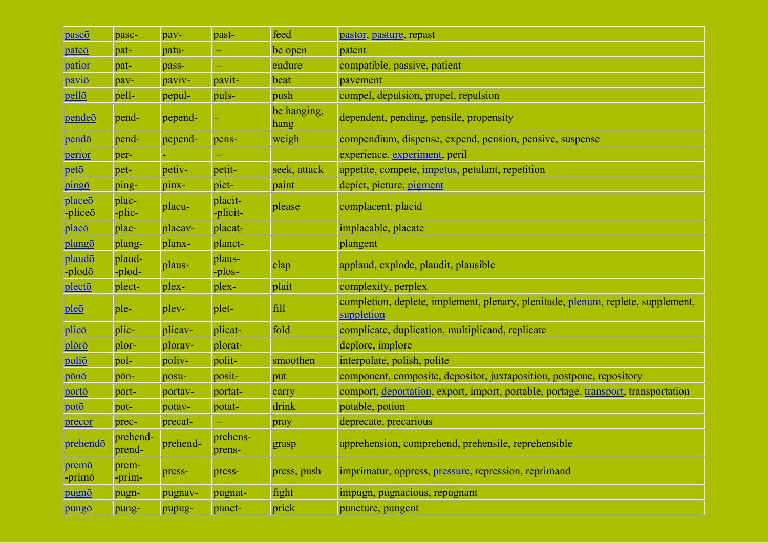| pascō                                     | pasc-              | pav-     | past-               | feed                | pastor, pasture, repast                                                                        |
|-------------------------------------------|--------------------|----------|---------------------|---------------------|------------------------------------------------------------------------------------------------|
| pateō                                     | pat-               | patu-    | ÷                   | be open             | patent                                                                                         |
| patior                                    | pat-               | pass-    | ÷,                  | endure              | compatible, passive, patient                                                                   |
| paviō                                     | pav-               | paviv-   | pavit-              | beat                | pavement                                                                                       |
| pellō                                     | pell-              | pepul-   | puls-               | push                | compel, depulsion, propel, repulsion                                                           |
| <u>pendeō</u>                             | pend-              | pepend-  |                     | be hanging,<br>hang | dependent, pending, pensile, propensity                                                        |
| pendō                                     | pend-              | pepend-  | pens-               | weigh               | compendium, dispense, expend, pension, pensive, suspense                                       |
| perior                                    | per-               |          |                     |                     | experience, experiment, peril                                                                  |
| petō                                      | pet-               | petiv-   | petit-              | seek, attack        | appetite, compete, <i>impetus</i> , petulant, repetition                                       |
| pingō                                     | ping-              | pinx-    | pict-               | paint               | depict, picture, pigment                                                                       |
| place <sub>o</sub><br>-plice <sub>o</sub> | plac-<br>-plic-    | placu-   | placit-<br>-plicit- | please              | complacent, placid                                                                             |
| placō                                     | plac-              | placav-  | placat-             |                     | implacable, placate                                                                            |
| plangō                                    | plang-             | planx-   | planct-             |                     | plangent                                                                                       |
| plaudō<br>-plodō                          | plaud-<br>-plod-   | plaus-   | plaus-<br>-plos-    | clap                | applaud, explode, plaudit, plausible                                                           |
| plectō                                    | plect-             | plex-    | plex-               | plait               | complexity, perplex                                                                            |
| pleō                                      | ple-               | plev-    | plet-               | fill                | completion, deplete, implement, plenary, plenitude, plenum, replete, supplement,<br>suppletion |
| plicō                                     | plic-              | plicav-  | plicat-             | fold                | complicate, duplication, multiplicand, replicate                                               |
| plōrō                                     | plor-              | plorav-  | plorat-             |                     | deplore, implore                                                                               |
| poliō                                     | pol-               | poliv-   | polit-              | smoothen            | interpolate, polish, polite                                                                    |
| pōnō                                      | pōn-               | posu-    | posit-              | put                 | component, composite, depositor, juxtaposition, postpone, repository                           |
| portō                                     | port-              | portav-  | portat-             | carry               | comport, deportation, export, import, portable, portage, transport, transportation             |
| potō                                      | pot-               | potav-   | potat-              | drink               | potable, potion                                                                                |
| precor                                    | prec-              | precat-  | ÷                   | pray                | deprecate, precarious                                                                          |
| prehendō                                  | prehend-<br>prend- | prehend- | prehens-<br>prens-  | grasp               | apprehension, comprehend, prehensile, reprehensible                                            |
| premō<br>-primō                           | prem-<br>-prim-    | press-   | press-              | press, push         | imprimatur, oppress, pressure, repression, reprimand                                           |
| pugnō                                     | pugn-              | pugnav-  | pugnat-             | fight               | impugn, pugnacious, repugnant                                                                  |
| pungō                                     | pung-              | pupug-   | punct-              | prick               | puncture, pungent                                                                              |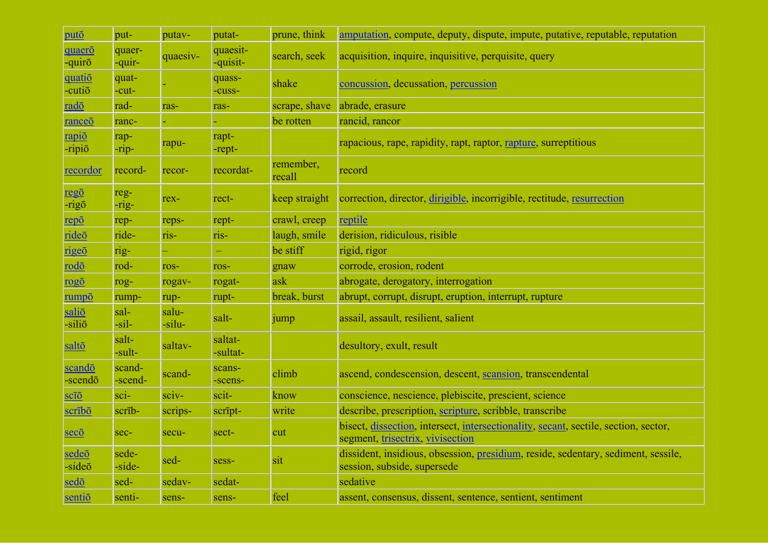| putō                    | put-              | putav-          | putat-               | prune, think        | amputation, compute, deputy, dispute, impute, putative, reputable, reputation                                           |
|-------------------------|-------------------|-----------------|----------------------|---------------------|-------------------------------------------------------------------------------------------------------------------------|
| quaero<br>-quirō        | quaer-<br>-quir-  | quaesiv-        | quaesit-<br>-quisit- | search, seek        | acquisition, inquire, inquisitive, perquisite, query                                                                    |
| <u>quatiō</u><br>-cutio | quat-<br>-cut-    |                 | quass-<br>-cuss-     | shake               | concussion, decussation, percussion                                                                                     |
| <u>radō</u>             | rad-              | ras-            | ras-                 | scrape, shave       | abrade, erasure                                                                                                         |
| ranceō                  | ranc-             |                 |                      | be rotten           | rancid, rancor                                                                                                          |
| rapiō<br>-ripiō         | rap-<br>$-rip-$   | rapu-           | rapt-<br>-rept-      |                     | rapacious, rape, rapidity, rapt, raptor, rapture, surreptitious                                                         |
| recordor                | record-           | recor-          | recordat-            | remember,<br>recall | record                                                                                                                  |
| <u>regō</u><br>-rigō    | reg-<br>-rig-     | rex-            | rect-                | keep straight       | correction, director, dirigible, incorrigible, rectitude, resurrection                                                  |
| repō                    | rep-              | reps-           | rept-                | crawl, creep        | reptile                                                                                                                 |
| rideō                   | ride-             | ris-            | ris-                 | laugh, smile        | derision, ridiculous, risible                                                                                           |
| rigeō                   | rig-              |                 |                      | be stiff            | rigid, rigor                                                                                                            |
| rodō                    | rod-              | ros-            | ros-                 | gnaw                | corrode, erosion, rodent                                                                                                |
| rogō                    | rog-              | rogav-          | rogat-               | ask                 | abrogate, derogatory, interrogation                                                                                     |
| rumpō                   | rump-             | rup-            | rupt-                | break, burst        | abrupt, corrupt, disrupt, eruption, interrupt, rupture                                                                  |
| saliō<br>-siliō         | sal-<br>$-sil-$   | salu-<br>-silu- | salt-                | jump                | assail, assault, resilient, salient                                                                                     |
| saltō                   | salt-<br>-sult-   | saltav-         | saltat-<br>-sultat-  |                     | desultory, exult, result                                                                                                |
| scandō<br>-scendō       | scand-<br>-scend- | scand-          | scans-<br>-scens-    | climb               | ascend, condescension, descent, scansion, transcendental                                                                |
| $\overline{\text{sci}}$ | sci-              | sciv-           | scit-                | know                | conscience, nescience, plebiscite, prescient, science                                                                   |
| scrībō                  | scrib-            | scrips-         | script-              | write               | describe, prescription, scripture, scribble, transcribe                                                                 |
| <u>secō</u>             | sec-              | secu-           | sect-                | cut                 | bisect, dissection, intersect, intersectionality, secant, sectile, section, sector,<br>segment, trisectrix, vivisection |
| sedeō<br>$-side\bar{o}$ | sede-<br>-side-   | sed-            | sess-                | sit                 | dissident, insidious, obsession, presidium, reside, sedentary, sediment, sessile,<br>session, subside, supersede        |
| sedō                    | sed-              | sedav-          | sedat-               |                     | sedative                                                                                                                |
| sentio                  | senti-            | sens-           | sens-                | feel                | assent, consensus, dissent, sentence, sentient, sentiment                                                               |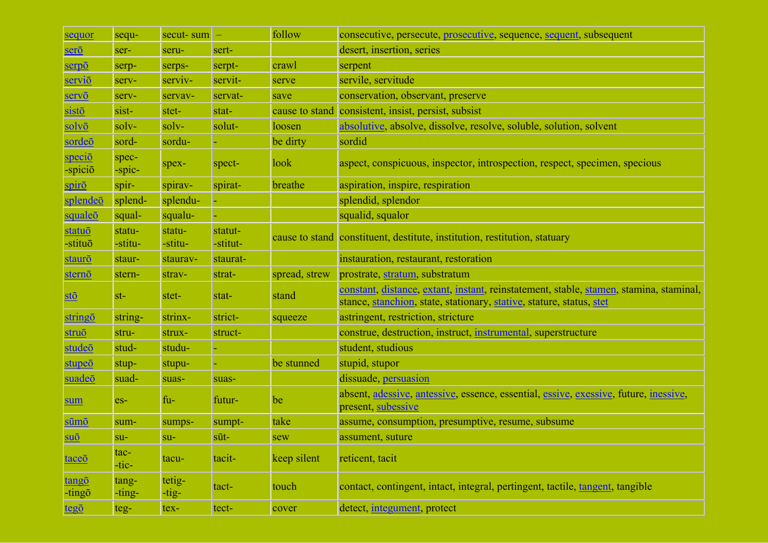| sequor                                | sequ-             | secut-sum         |                     | follow         | consecutive, persecute, prosecutive, sequence, sequent, subsequent                                                                                             |
|---------------------------------------|-------------------|-------------------|---------------------|----------------|----------------------------------------------------------------------------------------------------------------------------------------------------------------|
| serō                                  | ser-              | seru-             | sert-               |                | desert, insertion, series                                                                                                                                      |
| serpō                                 | serp-             | serps-            | serpt-              | crawl          | serpent                                                                                                                                                        |
| <u>serviō</u>                         | serv-             | serviv-           | servit-             | serve          | servile, servitude                                                                                                                                             |
| servō                                 | serv-             | servav-           | servat-             | save           | conservation, observant, preserve                                                                                                                              |
| sistō                                 | sist-             | stet-             | stat-               | cause to stand | consistent, insist, persist, subsist                                                                                                                           |
| solvō                                 | solv-             | solv-             | solut-              | loosen         | absolutive, absolve, dissolve, resolve, soluble, solution, solvent                                                                                             |
| sordeō                                | sord-             | sordu-            |                     | be dirty       | sordid                                                                                                                                                         |
| <u>speciō</u><br>-spiciō              | spec-<br>-spic-   | spex-             | spect-              | look           | aspect, conspicuous, inspector, introspection, respect, specimen, specious                                                                                     |
| spirō                                 | spir-             | spirav-           | spirat-             | breathe        | aspiration, inspire, respiration                                                                                                                               |
| splendeō                              | splend-           | splendu-          |                     |                | splendid, splendor                                                                                                                                             |
| squaleō                               | squal-            | squalu-           |                     |                | squalid, squalor                                                                                                                                               |
| statuō<br>-stituō                     | statu-<br>-stitu- | statu-<br>-stitu- | statut-<br>-stitut- |                | cause to stand constituent, destitute, institution, restitution, statuary                                                                                      |
| staurō                                | staur-            | staurav-          | staurat-            |                | instauration, restaurant, restoration                                                                                                                          |
| sternō                                | stern-            | strav-            | strat-              | spread, strew  | prostrate, stratum, substratum                                                                                                                                 |
| $\underline{\text{st}\bar{\text{o}}}$ | $st-$             | stet-             | stat-               | stand          | constant, distance, extant, instant, reinstatement, stable, stamen, stamina, staminal,<br>stance, stanchion, state, stationary, stative, stature, status, stet |
| string <sub>O</sub>                   | string-           | strinx-           | strict-             | squeeze        | astringent, restriction, stricture                                                                                                                             |
| struō                                 | stru-             | strux-            | struct-             |                | construe, destruction, instruct, instrumental, superstructure                                                                                                  |
| studeō                                | stud-             | studu-            |                     |                | student, studious                                                                                                                                              |
| stupeō                                | stup-             | stupu-            |                     | be stunned     | stupid, stupor                                                                                                                                                 |
| suadeō                                | suad-             | suas-             | suas-               |                | dissuade, persuasion                                                                                                                                           |
| sum                                   | $es-$             | fu-               | futur-              | be             | absent, adessive, antessive, essence, essential, essive, exessive, future, inessive,<br>present, subessive                                                     |
| sūmō                                  | sum-              | sumps-            | sumpt-              | take           | assume, consumption, presumptive, resume, subsume                                                                                                              |
| <u>suō</u>                            | $su-$             | $su-$             | $s\bar{u}t-$        | sew            | assument, suture                                                                                                                                               |
| <u>taceō</u>                          | tac-<br>-tic-     | tacu-             | tacit-              | keep silent    | reticent, tacit                                                                                                                                                |
| tangō<br>-tingō                       | tang-<br>-ting-   | tetig-<br>$-tig-$ | tact-               | touch          | contact, contingent, intact, integral, pertingent, tactile, tangent, tangible                                                                                  |
| tegō                                  | teg-              | tex-              | tect-               | cover          | detect, integument, protect                                                                                                                                    |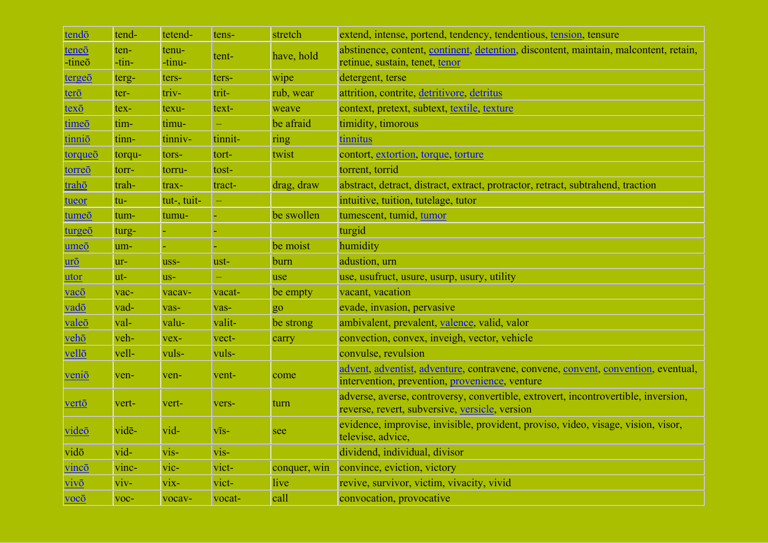| tendō                                 | tend-         | tetend-            | tens-        | stretch      | extend, intense, portend, tendency, tendentious, tension, tensure                                                                    |
|---------------------------------------|---------------|--------------------|--------------|--------------|--------------------------------------------------------------------------------------------------------------------------------------|
| teneō<br>-tineō                       | ten-<br>-tin- | tenu-<br>-tinu-    | tent-        | have, hold   | abstinence, content, continent, detention, discontent, maintain, malcontent, retain,<br>retinue, sustain, tenet, tenor               |
| tergeō                                | terg-         | ters-              | ters-        | wipe         | detergent, terse                                                                                                                     |
| terō                                  | ter-          | triv-              | trit-        | rub, wear    | attrition, contrite, detritivore, detritus                                                                                           |
| $text \{tex}$                         | tex-          | texu-              | text-        | weave        | context, pretext, subtext, textile, texture                                                                                          |
| time <sub>o</sub>                     | tim-          | timu-              |              | be afraid    | timidity, timorous                                                                                                                   |
| tinniō                                | tinn-         | tinniv-            | tinnit-      | ring         | tinnitus                                                                                                                             |
| torqueō                               | torqu-        | tors-              | tort-        | twist        | contort, extortion, torque, torture                                                                                                  |
| torreō                                | torr-         | torru-             | tost-        |              | torrent, torrid                                                                                                                      |
| trahō                                 | trah-         | trax-              | tract-       | drag, draw   | abstract, detract, distract, extract, protractor, retract, subtrahend, traction                                                      |
| tueor                                 | tu-           | tut-, tuit-        |              |              | intuitive, tuition, tutelage, tutor                                                                                                  |
| tumeō                                 | tum-          | tumu-              |              | be swollen   | tumescent, tumid, tumor                                                                                                              |
| turgeō                                | turg-         |                    |              |              | turgid                                                                                                                               |
| umeō                                  | um-           |                    |              | be moist     | humidity                                                                                                                             |
| $\overline{\text{ur\"o}}$             | $ur-$         | uss-               | ust-         | burn         | adustion, urn                                                                                                                        |
| utor                                  | ut-           | $us-$              |              | use          | use, usufruct, usure, usurp, usury, utility                                                                                          |
| vacō                                  | vac-          | vacav-             | vacat-       | be empty     | vacant, vacation                                                                                                                     |
| vadō                                  | vad-          | vas-               | vas-         | go           | evade, invasion, pervasive                                                                                                           |
| valeō                                 | val-          | valu-              | valit-       | be strong    | ambivalent, prevalent, valence, valid, valor                                                                                         |
| vehō                                  | veh-          | vex-               | vect-        | carry        | convection, convex, inveigh, vector, vehicle                                                                                         |
| vellō                                 | vell-         | vuls-              | vuls-        |              | convulse, revulsion                                                                                                                  |
| venio                                 | ven-          | ven-               | vent-        | come         | advent, adventist, adventure, contravene, convene, convent, convention, eventual,<br>intervention, prevention, provenience, venture  |
| <u>vertō</u>                          | vert-         | vert-              | vers-        | turn         | adverse, averse, controversy, convertible, extrovert, incontrovertible, inversion,<br>reverse, revert, subversive, versicle, version |
| videō                                 | vidē-         | vid-               | $V\bar{1}S-$ | see          | evidence, improvise, invisible, provident, proviso, video, visage, vision, visor,<br>televise, advice,                               |
| vidō                                  | vid-          | $vis-$             | vis-         |              | dividend, individual, divisor                                                                                                        |
| vincō                                 | vinc-         | $\overline{vic}$ - | vict-        | conquer, win | convince, eviction, victory                                                                                                          |
| $\dot{\mathbf{V}}$ $\dot{\mathbf{V}}$ | viv-          | vix-               | vict-        | live         | revive, survivor, victim, vivacity, vivid                                                                                            |
| $vocō$                                | voc-          | vocav-             | vocat-       | call         | convocation, provocative                                                                                                             |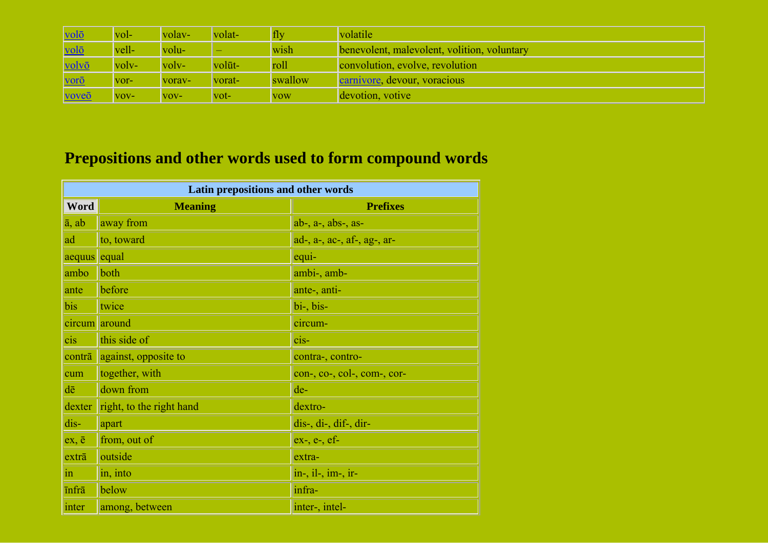| volō  | vol-                      | volav-  | volat-                  | fly        | volatile                                    |
|-------|---------------------------|---------|-------------------------|------------|---------------------------------------------|
| volō  | vell-                     | volu-   |                         | wish       | benevolent, malevolent, volition, voluntary |
| volvō | $\vert \text{volv} \vert$ | $volv-$ | volūt-                  | roll       | convolution, evolve, revolution             |
| vorō  | VOI <sup>-</sup>          | vorav-  | vorat-                  | swallow    | carnivore, devour, voracious                |
| voveō | $VOV-$                    | $VOV-$  | $\overline{\text{vot}}$ | <b>VOW</b> | devotion, votive                            |

## **Prepositions and other words used to form compound words**

| Latin prepositions and other words |                          |                                |  |  |  |
|------------------------------------|--------------------------|--------------------------------|--|--|--|
| Word                               | <b>Meaning</b>           | <b>Prefixes</b>                |  |  |  |
| $\overline{a}$ , ab                | away from                | $ab$ -, $a$ -, $abs$ -, $as$ - |  |  |  |
| ad                                 | to, toward               | ad-, a-, ac-, af-, ag-, ar-    |  |  |  |
| aequus                             | equal                    | equi-                          |  |  |  |
| ambo                               | both                     | ambi-, amb-                    |  |  |  |
| ante                               | before                   | ante-, anti-                   |  |  |  |
| bis                                | twice                    | bi-, bis-                      |  |  |  |
| circum                             | around                   | circum-                        |  |  |  |
| cis                                | this side of             | $cis$ -                        |  |  |  |
| contrā                             | against, opposite to     | contra-, contro-               |  |  |  |
| cum                                | together, with           | con-, co-, col-, com-, cor-    |  |  |  |
| dē                                 | down from                | de-                            |  |  |  |
| dexter                             | right, to the right hand | dextro-                        |  |  |  |
| dis-                               | apart                    | dis-, di-, dif-, dir-          |  |  |  |
| $ex, \bar{e}$                      | from, out of             | $ex-, e-, ef-$                 |  |  |  |
| extrā                              | outside                  | extra-                         |  |  |  |
| 1n                                 | in, into                 | in-, il-, im-, ir-             |  |  |  |
| <b>infra</b>                       | below                    | infra-                         |  |  |  |
| inter                              | among, between           | inter-, intel-                 |  |  |  |